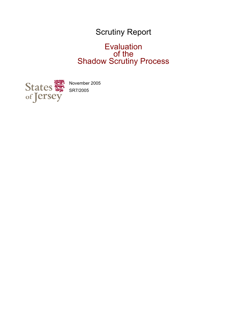# Scrutiny Report

## Evaluation of the Shadow Scrutiny Process



November 2005 SR7/2005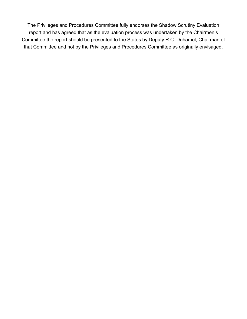The Privileges and Procedures Committee fully endorses the Shadow Scrutiny Evaluation report and has agreed that as the evaluation process was undertaken by the Chairmen's Committee the report should be presented to the States by Deputy R.C. Duhamel, Chairman of that Committee and not by the Privileges and Procedures Committee as originally envisaged.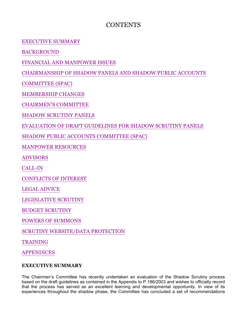## **CONTENTS**

EXECUTIVE SUMMARY

BACKGROUND

FINANCIAL AND MANPOWER ISSUES

CHAIRMANSHIP OF SHADOW PANELS AND SHADOW PUBLIC ACCOUNTS

COMMITTEE (SPAC)

MEMBERSHIP CHANGES

CHAIRMEN'S COMMITTEE

SHADOW SCRUTINY PANELS

EVALUATION OF DRAFT GUIDELINES FOR SHADOW SCRUTINY PANELS

SHADOW PUBLIC ACCOUNTS COMMITTEE (SPAC)

MANPOWER RESOURCES

ADVISORS

CALL-IN

CONFLICTS OF INTEREST

LEGAL ADVICE

LEGISLATIVE SCRUTINY

BUDGET SCRUTINY

POWERS OF SUMMONS

SCRUTINY WEBSITE/DATA PROTECTION

TRAINING

APPENDICES

## **EXECUTIVE SUMMARY**

The Chairmen's Committee has recently undertaken an evaluation of the Shadow Scrutiny process based on the draft guidelines as contained in the Appendix to P.186/2003 and wishes to officially record that the process has served as an excellent learning and developmental opportunity. In view of its experiences throughout the shadow phase, the Committee has concluded a set of recommendations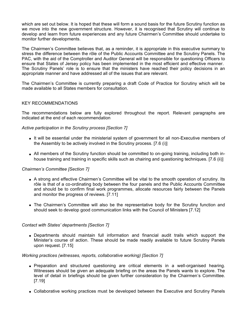which are set out below. It is hoped that these will form a sound basis for the future Scrutiny function as we move into the new government structure. However, it is recognised that Scrutiny will continue to develop and learn from future experiences and any future Chairmen's Committee should undertake to monitor further developments.

The Chairmen's Committee believes that, as a reminder, it is appropriate in this executive summary to stress the difference between the rôle of the Public Accounts Committee and the Scrutiny Panels. The PAC, with the aid of the Comptroller and Auditor General will be responsible for questioning Officers to ensure that States of Jersey policy has been implemented in the most efficient and effective manner. The Scrutiny Panels' role is to ensure that the ministers have reached their policy decisions in an appropriate manner and have addressed all of the issues that are relevant.

The Chairmen's Committee is currently preparing a draft Code of Practice for Scrutiny which will be made available to all States members for consultation.

#### KEY RECOMMENDATIONS

The recommendations below are fully explored throughout the report. Relevant paragraphs are indicated at the end of each recommendation

#### *Active participation in the Scrutiny process [Section 7]*

- It will be essential under the ministerial system of government for all non-Executive members of the Assembly to be actively involved in the Scrutiny process. [7.6 (i)]
- All members of the Scrutiny function should be committed to on-going training, including both inhouse training and training in specific skills such as chairing and questioning techniques. [7.6 (ii)]

#### *Chairmen's Committee [Section 7]*

- A strong and effective Chairmen's Committee will be vital to the smooth operation of scrutiny. Its rôle is that of a co-ordinating body between the four panels and the Public Accounts Committee and should be to confirm final work programmes, allocate resources fairly between the Panels and monitor the progress of reviews. [7.11]
- The Chairmen's Committee will also be the representative body for the Scrutiny function and should seek to develop good communication links with the Council of Ministers [7.12]

#### *Contact with States' departments [Section 7]*

 Departments should maintain full information and financial audit trails which support the Minister's course of action. These should be made readily available to future Scrutiny Panels upon request. [7.15]

*Working practices (witnesses, reports, collaborative working) [Section 7]*

- Preparation and structured questioning are critical elements in a well-organised hearing. Witnesses should be given an adequate briefing on the areas the Panels wants to explore. The level of detail in briefings should be given further consideration by the Chairmen's Committee. [7.19]
- Collaborative working practices must be developed between the Executive and Scrutiny Panels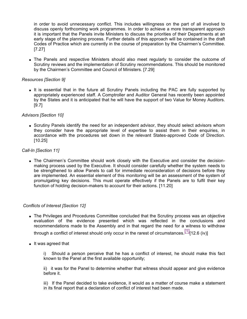in order to avoid unnecessary conflict. This includes willingness on the part of all involved to discuss openly forthcoming work programmes. In order to achieve a more transparent approach it is important that the Panels invite Ministers to discuss the priorities of their Departments at an early stage of the planning process. Further details of this approach will be contained in the draft Codes of Practice which are currently in the course of preparation by the Chairmen's Committee. [7.27]

• The Panels and respective Ministers should also meet regularly to consider the outcome of Scrutiny reviews and the implementation of Scrutiny recommendations. This should be monitored by the Chairmen's Committee and Council of Ministers. [7.29]

#### *Resources [Section 9]*

• It is essential that in the future all Scrutiny Panels including the PAC are fully supported by appropriately experienced staff. A Comptroller and Auditor General has recently been appointed by the States and it is anticipated that he will have the support of two Value for Money Auditors. [9.7]

#### *Advisors [Section 10]*

 Scrutiny Panels identify the need for an independent advisor, they should select advisors whom they consider have the appropriate level of expertise to assist them in their enquiries, in accordance with the procedures set down in the relevant States-approved Code of Direction.  $[10.25]$ 

#### *Call-In [Section 11]*

• The Chairmen's Committee should work closely with the Executive and consider the decisionmaking process used by the Executive. It should consider carefully whether the system needs to be strengthened to allow Panels to call for immediate reconsideration of decisions before they are implemented. An essential element of this monitoring will be an assessment of the system of promulgating key decisions. This must operate effectively if the Panels are to fulfil their key function of holding decision-makers to account for their actions. [11.20]

#### *Conflicts of Interest [Section 12]*

• The Privileges and Procedures Committee concluded that the Scrutiny process was an objective evaluation of the evidence presented which was reflected in the conclusions and recommendations made to the Assembly and in that regard the need for a witness to withdraw

through a conflict of interest should only occur in the rarest of circumstances.  $\left[1\right]$ [12.6 (iv)]

• It was agreed that

i) Should a person perceive that he has a conflict of interest, he should make this fact known to the Panel at the first available opportunity;

ii) it was for the Panel to determine whether that witness should appear and give evidence before it.

iii) If the Panel decided to take evidence, it would as a matter of course make a statement in its final report that a declaration of conflict of interest had been made.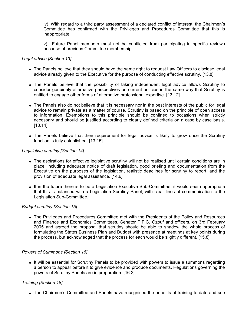iv) With regard to a third party assessment of a declared conflict of interest, the Chairmen's Committee has confirmed with the Privileges and Procedures Committee that this is inappropriate.

v) Future Panel members must not be conflicted from participating in specific reviews because of previous Committee membership.

#### *Legal advice [Section 13]*

- The Panels believe that they should have the same right to request Law Officers to disclose legal advice already given to the Executive for the purpose of conducting effective scrutiny. [13.8]
- The Panels believe that the possibility of taking independent legal advice allows Scrutiny to consider genuinely alternative perspectives on current policies in the same way that Scrutiny is entitled to engage other forms of alternative professional expertise. [13.12]
- The Panels also do not believe that it is necessary nor in the best interests of the public for legal advice to remain private as a matter of course. Scrutiny is based on the principle of open access to information. Exemptions to this principle should be confined to occasions when strictly necessary and should be justified according to clearly defined criteria on a case by case basis. [13.14]
- The Panels believe that their requirement for legal advice is likely to grow once the Scrutiny function is fully established. [13.15]

#### *Legislative scrutiny [Section 14]*

- The aspirations for effective legislative scrutiny will not be realised until certain conditions are in place, including adequate notice of draft legislation, good briefing and documentation from the Executive on the purposes of the legislation, realistic deadlines for scrutiny to report, and the provision of adequate legal assistance. [14.6]
- If in the future there is to be a Legislation Executive Sub-Committee, it would seem appropriate that this is balanced with a Legislation Scrutiny Panel; with clear lines of communication to the Legislation Sub-Committee.;

#### *Budget scrutiny [Section 15]*

• The Privileges and Procedures Committee met with the Presidents of the Policy and Resources and Finance and Economics Committees, Senator P.F.C. Ozouf and officers, on 3rd February 2005 and agreed the proposal that scrutiny should be able to shadow the whole process of formulating the States Business Plan and Budget with presence at meetings at key points during the process, but acknowledged that the process for each would be slightly different. [15.8]

#### *Powers of Summons [Section 16]*

 It will be essential for Scrutiny Panels to be provided with powers to issue a summons regarding a person to appear before it to give evidence and produce documents. Regulations governing the powers of Scrutiny Panels are in preparation. [16.2]

#### *Training [Section 18]*

• The Chairmen's Committee and Panels have recognised the benefits of training to date and see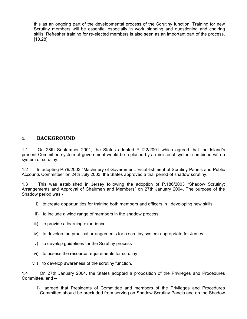this as an ongoing part of the developmental process of the Scrutiny function. Training for new Scrutiny members will be essential especially in work planning and questioning and chairing skills. Refresher training for re-elected members is also seen as an important part of the process. [18.28]

## **1. BACKGROUND**

1.1 On 28th September 2001, the States adopted P.122/2001 which agreed that the Island's present Committee system of government would be replaced by a ministerial system combined with a system of scrutiny.

1.2 In adopting P.79/2003 "Machinery of Government: Establishment of Scrutiny Panels and Public Accounts Committee" on 24th July 2003, the States approved a trial period of shadow scrutiny.

1.3 This was established in Jersey following the adoption of P.186/2003 "Shadow Scrutiny: Arrangements and Approval of Chairmen and Members" on 27th January 2004. The purpose of the Shadow period was -

- i) to create opportunities for training both members and officers in developing new skills;
- ii) to include a wide range of members in the shadow process;
- iii) to provide a learning experience
- iv) to develop the practical arrangements for a scrutiny system appropriate for Jersey
- v) to develop guidelines for the Scrutiny process
- vi) to assess the resource requirements for scrutiny
- vii) to develop awareness of the scrutiny function.

1.4 On 27th January 2004, the States adopted a proposition of the Privileges and Procedures Committee, and –

i) agreed that Presidents of Committee and members of the Privileges and Procedures Committee should be precluded from serving on Shadow Scrutiny Panels and on the Shadow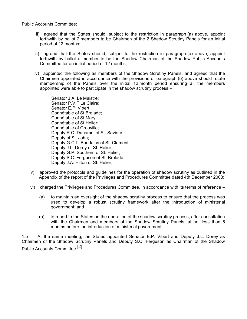Public Accounts Committee;

- ii) agreed that the States should, subject to the restriction in paragraph (a) above, appoint forthwith by ballot 2 members to be Chairmen of the 2 Shadow Scrutiny Panels for an initial period of 12 months;
- iii) agreed that the States should, subject to the restriction in paragraph (a) above, appoint forthwith by ballot a member to be the Shadow Chairman of the Shadow Public Accounts Committee for an initial period of 12 months;
- iv) appointed the following as members of the Shadow Scrutiny Panels, and agreed that the Chairmen appointed in accordance with the provisions of paragraph (b) above should rotate membership of the Panels over the initial 12 month period ensuring all the members appointed were able to participate in the shadow scrutiny process –

 Senator J.A. Le Maistre; Senator P.V.F Le Claire; Senator E.P. Vibert; Connétable of St Brelade; Connétable of St Mary; Connétable of St Helier; Connétable of Grouville; Deputy R.C. Duhamel of St. Saviour; Deputy of St. John; Deputy G.C.L. Baudains of St. Clement; Deputy J.L. Dorey of St. Helier; Deputy G.P. Southern of St. Helier; Deputy S.C. Ferguson of St. Brelade; Deputy J.A. Hilton of St. Helier;

- v) approved the protocols and guidelines for the operation of shadow scrutiny as outlined in the Appendix of the report of the Privileges and Procedures Committee dated 4th December 2003;
- vi) charged the Privileges and Procedures Committee, in accordance with its terms of reference
	- (a) to maintain an oversight of the shadow scrutiny process to ensure that the process was used to develop a robust scrutiny framework after the introduction of ministerial government; and
	- (b) to report to the States on the operation of the shadow scrutiny process, after consultation with the Chairmen and members of the Shadow Scrutiny Panels, at not less than 5 months before the introduction of ministerial government.

1.5 At the same meeting, the States appointed Senator E.P. Vibert and Deputy J.L. Dorey as Chairmen of the Shadow Scrutiny Panels and Deputy S.C. Ferguson as Chairman of the Shadow Public Accounts Committee<sup>[2]</sup>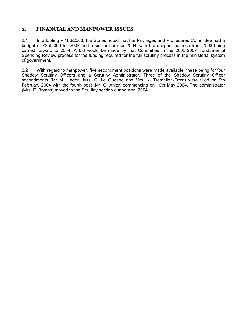## **2. FINANCIAL AND MANPOWER ISSUES**

2.1 In adopting P.186/2003, the States noted that the Privileges and Procedures Committee had a budget of £250,000 for 2003 and a similar sum for 2004, with the unspent balance from 2003 being carried forward to 2004. A bid would be made by that Committee in the 2005-2007 Fundamental Spending Review process for the funding required for the full scrutiny process in the ministerial system of government.

2.2 With regard to manpower, five secondment positions were made available, these being for four Shadow Scrutiny Officers and a Scrutiny Administrator. Three of the Shadow Scrutiny Officer secondments (Mr M. Haden, Mrs. C. Le Quesne and Mrs. K. Tremellen-Frost) were filled on 9th February 2004 with the fourth post (Mr. C. Ahier) commencing on 10th May 2004. The administrator (Mrs. F. Bryans) moved to the Scrutiny section during April 2004.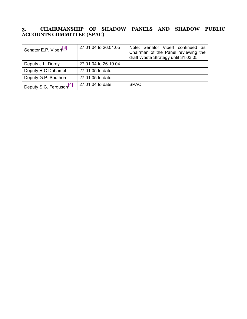## **3. CHAIRMANSHIP OF SHADOW PANELS AND SHADOW PUBLIC ACCOUNTS COMMITTEE (SPAC)**

| Senator E.P. Vibert <sup>[3]</sup>  | 27,01,04 to 26,01,05 | Note: Senator Vibert continued as<br>Chairman of the Panel reviewing the<br>draft Waste Strategy until 31.03.05 |
|-------------------------------------|----------------------|-----------------------------------------------------------------------------------------------------------------|
| Deputy J.L. Dorey                   | 27,01,04 to 26,10,04 |                                                                                                                 |
| Deputy R.C Duhamel                  | 27.01.05 to date     |                                                                                                                 |
| Deputy G.P. Southern                | 27.01.05 to date     |                                                                                                                 |
| Deputy S.C. Ferguson <sup>[4]</sup> | 27,01,04 to date     | <b>SPAC</b>                                                                                                     |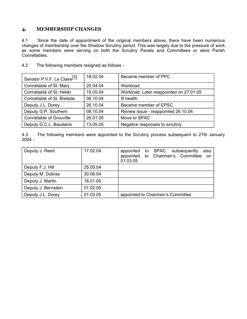## **4. MEMBERSHIP CHANGES**

4.1 Since the date of appointment of the original members above, there have been numerous changes of membership over the Shadow Scrutiny period. This was largely due to the pressure of work as some members were serving on both the Scrutiny Panels and Committees or were Parish Connétables.

| Senator P.V.F. Le Claire <sup>[5]</sup> | 18.02.04 | Became member of PPC                    |
|-----------------------------------------|----------|-----------------------------------------|
| Connétable of St. Mary                  | 20.04.04 | Workload                                |
| Connétable of St. Helier                | 19.05.04 | Workload. Later reappointed on 27.01.05 |
| Connétable of St. Brelade               | 08.10.04 | III health                              |
| Deputy J.L. Dorey                       | 26.10.04 | Became member of EPSC                   |
| Deputy G.P. Southern                    | 08.10.04 | Review issue - reappointed 26.10.04     |
| Connétable of Grouville                 | 26.01.05 | Move to SPAC                            |
| Deputy G.C.L. Baudains                  | 13.05.05 | Negative responses to scrutiny.         |

4.2 The following members resigned as follows -

4.3 The following members were appointed to the Scrutiny process subsequent to 27th January 2004 -

| Deputy J. Reed      | 17.02.04 | to SPAC, subsequently<br>appointed<br>also<br>appointed to Chairmen's Committee<br>on<br>01.03.05 |
|---------------------|----------|---------------------------------------------------------------------------------------------------|
| Deputy F.J. Hill    | 25.05.04 |                                                                                                   |
| Deputy M. Dubras    | 30.06.04 |                                                                                                   |
| Deputy J. Martin    | 18.01.05 |                                                                                                   |
| Deputy J. Bernstein | 01.02.05 |                                                                                                   |
| Deputy J.L. Dorey   | 01.03.05 | appointed to Chairmen's Committee                                                                 |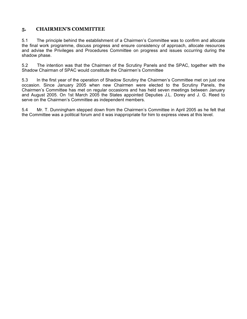## **5. CHAIRMEN'S COMMITTEE**

5.1 The principle behind the establishment of a Chairmen's Committee was to confirm and allocate the final work programme, discuss progress and ensure consistency of approach, allocate resources and advise the Privileges and Procedures Committee on progress and issues occurring during the shadow phase.

5.2 The intention was that the Chairmen of the Scrutiny Panels and the SPAC, together with the Shadow Chairman of SPAC would constitute the Chairmen's Committee

5.3 In the first year of the operation of Shadow Scrutiny the Chairmen's Committee met on just one occasion. Since January 2005 when new Chairmen were elected to the Scrutiny Panels, the Chairmen's Committee has met on regular occasions and has held seven meetings between January and August 2005. On 1st March 2005 the States appointed Deputies J.L. Dorey and J. G. Reed to serve on the Chairmen's Committee as independent members.

5.4 Mr. T. Dunningham stepped down from the Chairmen's Committee in April 2005 as he felt that the Committee was a political forum and it was inappropriate for him to express views at this level.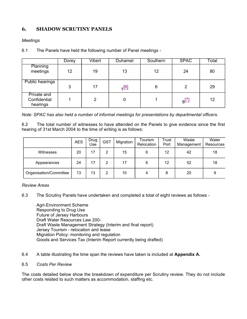## **6. SHADOW SCRUTINY PANELS**

#### *Meetings*

| 6.1 | The Panels have held the following number of Panel meetings - |  |
|-----|---------------------------------------------------------------|--|
|     |                                                               |  |

|                                         | Dorey | Vibert         | Duhamel | Southern | <b>SPAC</b>                   | Total |
|-----------------------------------------|-------|----------------|---------|----------|-------------------------------|-------|
| Planning<br>meetings                    | 12    | 19             | 13      | 12       | 24                            | 80    |
| <b>Public hearings</b>                  | 3     | 17             | [6]     | 6        | 2                             | 29    |
| Private and<br>Confidential<br>hearings |       | $\overline{2}$ | 0       |          | $\overline{S}$ <sup>[7]</sup> | 12    |

*Note: SPAC has also held a number of informal meetings for presentations by departmental officers.*

6.2 The total number of witnesses to have attended on the Panels to give evidence since the first hearing of 31st March 2004 to the time of writing is as follows:

|                        | <b>AES</b> | Drug<br>Use | <b>GST</b> | Migration | Tourism<br>Relocation | Trust<br>Port | Waste<br>Management | Water<br>Resources |
|------------------------|------------|-------------|------------|-----------|-----------------------|---------------|---------------------|--------------------|
| Witnesses              | 20         | 17          | 2          | 15        | 6                     | 12            | 42                  | 18                 |
| Appearances            | 24         | 17          | 2          | 17        | 6                     | 12            | 52                  | 18                 |
| Organisation/Committee | 13         | 13          | 2          | 10        | 4                     | 8             | 20                  | 9                  |

#### *Review Areas*

6.3 The Scrutiny Panels have undertaken and completed a total of eight reviews as follows -

 Agri-Environment Scheme Responding to Drug Use Future of Jersey Harbours Draft Water Resources Law 200- Draft Waste Management Strategy (Interim and final report) Jersey Tourism - relocation and lease Migration Policy: monitoring and regulation Goods and Services Tax (Interim Report currently being drafted)

- 6.4 A table illustrating the time span the reviews have taken is included at **Appendix A.**
- 6.5 *Costs Per Review*

The costs detailed below show the breakdown of expenditure per Scrutiny review. They do not include other costs related to such matters as accommodation, staffing etc.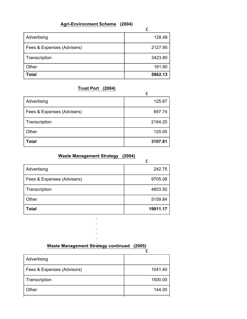## **Agri-Environment Scheme (2004)**

 $\mathbf{r}$ 

 $\overline{a}$ 

|                            | ż.      |
|----------------------------|---------|
| Advertising                | 128.48  |
| Fees & Expenses (Advisers) | 2127.95 |
| Transcription              | 3423.80 |
| Other                      | 181.90  |
| <b>Total</b>               | 5862.13 |

## **Trust Port (2004)**

|                            | ż.      |
|----------------------------|---------|
| Advertising                | 125.87  |
| Fees & Expenses (Advisers) | 697.74  |
| Transcription              | 2164.20 |
| Other                      | 120.00  |
| <b>Total</b>               | 3107.81 |

## **Waste Management Strategy (2004)**

|                            | £        |
|----------------------------|----------|
| Advertising                | 242.75   |
| Fees & Expenses (Advisers) | 9705.08  |
| Transcription              | 4803.50  |
| Other                      | 5159.84  |
| Total                      | 19911.17 |

**Waste Management Strategy continued (2005)**

 $\equiv$  $\equiv$ 

 $\overline{a}$  $\equiv$ 

|                            | £       |
|----------------------------|---------|
| Advertising                |         |
| Fees & Expenses (Advisors) | 1041.40 |
| Transcription              | 1500.00 |
| Other                      | 144.00  |
|                            |         |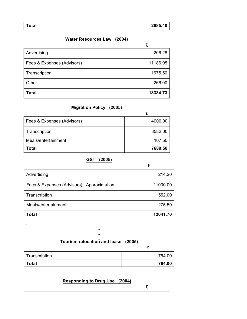| Total | 2685.40 |
|-------|---------|
|       |         |

 $\mathbf{r}$ 

## **Water Resources Law (2004)**

|                            | ż.       |
|----------------------------|----------|
| Advertising                | 206.28   |
| Fees & Expenses (Advisors) | 11186.95 |
| Transcription              | 1675.50  |
| Other                      | 266.00   |
| <b>Total</b>               | 13334.73 |

## **Migration Policy (2005)**

| Fees & Expenses (Advisors) | 4000.00 |
|----------------------------|---------|
| Transcription              | 3582.00 |
| Meals/entertainment        | 107.50  |
| Гоtal                      | 7689.50 |

## **GST (2005)**

|                                          | £        |
|------------------------------------------|----------|
| Advertising                              | 214.20   |
| Fees & Expenses (Advisors) Approximation | 11000.00 |
| Transcription                            | 552.00   |
| Meals/entertainment                      | 275.50   |
| Total                                    | 12041.70 |

## **Tourism relocation and lease (2005)**

| Transcription | 764.00 |
|---------------|--------|
| <b>Total</b>  | 764.00 |

## **Responding to Drug Use (2004)**

£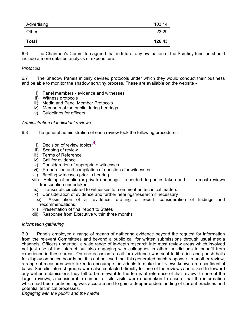| Advertising  | 103.14 |
|--------------|--------|
| Other        | 23.29  |
| <b>Total</b> | 126.43 |

6.6 The Chairmen's Committee agreed that in future, any evaluation of the Scrutiny function should include a more detailed analysis of expenditure.

#### *Protocols*

6.7 The Shadow Panels initially devised protocols under which they would conduct their business and be able to monitor the shadow scrutiny process. These are available on the website -

- i) Panel members evidence and witnesses
- ii) Witness protocols
- iii) Media and Panel Member Protocols
- iv) Members of the public during hearings
- v) Guidelines for officers

#### *Administration of individual reviews*

- 6.8 The general administration of each review took the following procedure
	- i) Decision of review topics<sup>[8]</sup>
	- ii) Scoping of review
	- iii) Terms of Reference
	- iv) Call for evidence
	- v) Consideration of appropriate witnesses
	- vi) Preparation and compilation of questions for witnesses
	- vii) Briefing witnesses prior to hearing
	- viii) Holding of public (or private) hearings recorded, log-notes taken and in most reviews transcription undertaken
	- ix) Transcripts circulated to witnesses for comment on technical matters
	-
	- x) Consideration of evidence and further hearings/research if necessary<br>xi) Assimilation of all evidence, drafting of report, considera Assimilation of all evidence, drafting of report, consideration of findings and recommendations.
	- xii) Presentation of final report to States
	- xiii) Response from Executive within three months

#### *Information gathering*

6.9 Panels employed a range of means of gathering evidence beyond the request for information from the relevant Committees and beyond a public call for written submissions through usual media channels. Officers undertook a wide range of in-depth research into most review areas which involved not just use of the internet but also engaging with colleagues in other jurisdictions to benefit from experience in these areas. On one occasion, a call for evidence was sent to libraries and parish halls for display on notice boards but it is not believed that this generated much response. In another review, a range of measures were taken to encourage individuals to make their views known on a confidential basis. Specific interest groups were also contacted directly for one of the reviews and asked to forward any written submissions they felt to be relevant to the terms of reference of that review. In one of the larger reviews, a considerable number of site visits were undertaken to ensure that the information which had been forthcoming was accurate and to gain a deeper understanding of current practices and potential technical processes.

*Engaging with the public and the media*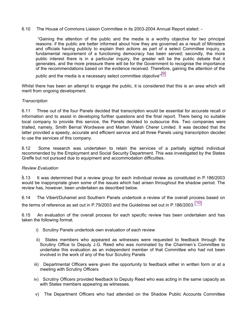6.10 The House of Commons Liaison Committee in its 2003-2004 Annual Report stated: -

 "Gaining the attention of the public and the media is a worthy objective for two principal reasons: if the public are better informed about how they are governed as a result of Ministers and officials having publicly to explain their actions as part of a select Committee inquiry, a fundamental requirement of a functioning democracy has been served; secondly, the more public interest there is in a particular inquiry, the greater will be the public debate that it generates, and the more pressure there will be for the Government to recognise the importance of the recommendations based on the evidence received. Therefore, gaining the attention of the

public and the media is a necessary select committee objective" $\overline{[9]}$ 

Whilst there has been an attempt to engage the public, it is considered that this is an area which will merit from ongoing development.

#### *Transcription*

6.11 Three out of the four Panels decided that transcription would be essential for accurate recall of information and to assist in developing further questions and the final report. There being no suitable local company to provide this service, the Panels decided to outsource this. Two companies were trialled, namely, Smith Bernal Wordwave and Marten Walsh Cherer Limited. It was decided that the latter provided a speedy, accurate and efficient service and all three Panels using transcription decided to use the services of this company.

6.12 Some research was undertaken to retain the services of a partially sighted individual recommended by the Employment and Social Security Department. This was investigated by the States Greffe but not pursued due to equipment and accommodation difficulties.

#### *Review Evaluation*

6.13 It was determined that a review group for each individual review as constituted in P.186/2003 would be inappropriate given some of the issues which had arisen throughout the shadow period. The review has, however, been undertaken as described below.

6.14 The Vibert/Duhamel and Southern Panels undertook a review of the overall process based on the terms of reference as set out in P.79/2003 and the Guidelines set out in P.186/2003.<sup>[10]</sup>

6.15 An evaluation of the overall process for each specific review has been undertaken and has taken the following format.

- i) Scrutiny Panels undertook own evaluation of each review
- ii) States members who appeared as witnesses were requested to feedback through the Scrutiny Office to Deputy J.G. Reed who was nominated by the Chairmen's Committee to undertake this evaluation as an independent member of that Committee who had not been involved in the work of any of the four Scrutiny Panels
- iii) Departmental Officers were given the opportunity to feedback either in written form or at a meeting with Scrutiny Officers
- iv) Scrutiny Officers provided feedback to Deputy Reed who was acting in the same capacity as with States members appearing as witnesses.
- v) The Department Officers who had attended on the Shadow Public Accounts Committee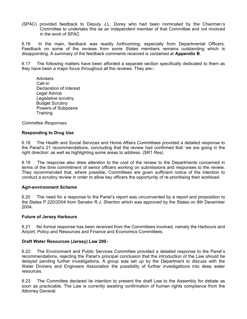(SPAC) provided feedback to Deputy J.L. Dorey who had been nominated by the Chairmen's Committee to undertake this as an independent member of that Committee and not involved in the work of SPAC

6.16 In the main, feedback was readily forthcoming, especially from Departmental Officers. Feedback on some of the reviews from some States members remains outstanding which is disappointing. A summary of the feedback comments received is contained at **Appendix B**.

6.17 The following matters have been afforded a separate section specifically dedicated to them as they have been a major focus throughout all the reviews. They are:-

 Advisers Call-In Declaration of Interest Legal Advice Legislative scrutiny Budget Scrutiny Powers of Subpoena **Training** 

*Committee Responses*

#### **Responding to Drug Use**

6.18 The Health and Social Services and Home Affairs Committees provided a detailed response to the Panel's 21 recommendations, concluding that the review had confirmed that 'we are going in the right direction' as well as highlighting some areas to address. (SR1 Res)

6.19 The response also drew attention to the cost of the review to the Departments concerned in terms of the time commitment of senior officers working on submissions and responses to the review. They recommended that, where possible, Committees are given sufficient notice of the intention to conduct a scrutiny review in order to allow key officers the opportunity of re-prioritising their workload.

#### **Agri-environment Scheme**

6.20 The need for a response to the Panel's report was circumvented by a report and proposition to the States P.220/2004 from Senator R.J. Shenton which was approved by the States on 8th December 2004.

#### **Future of Jersey Harbours**

6.21 No formal response has been received from the Committees involved, namely the Harbours and Airport, Policy and Resources and Finance and Economics Committees.

#### **Draft Water Resources (Jersey) Law 200-**

6.22 The Environment and Public Services Committee provided a detailed response to the Panel's recommendations, rejecting the Panel's principal conclusion that the introduction of the Law should be delayed pending further investigations. A group was set up by the Department to discuss with the Water Diviners and Engineers Association the possibility of further investigations into deep water resources.

6.23 The Committee declared its intention to present the draft Law to the Assembly for debate as soon as practicable. The Law is currently awaiting confirmation of human rights compliance from the Attorney General.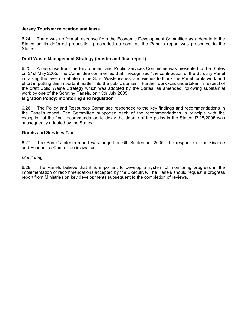#### **Jersey Tourism: relocation and lease**

6.24 There was no formal response from the Economic Development Committee as a debate in the States on its deferred proposition proceeded as soon as the Panel's report was presented to the States.

#### **Draft Waste Management Strategy (Interim and final report)**

6.25 A response from the Environment and Public Services Committee was presented to the States on 31st May 2005. The Committee commented that it recognised "the contribution of the Scrutiny Panel in raising the level of debate on the Solid Waste issues, and wishes to thank the Panel for its work and effort in putting this important matter into the public domain". Further work was undertaken in respect of the draft Solid Waste Strategy which was adopted by the States, as amended, following substantial work by one of the Scrutiny Panels, on 13th July 2005.

#### **Migration Policy: monitoring and regulation**

6.26 The Policy and Resources Committee responded to the key findings and recommendations in the Panel's report. The Committee supported each of the recommendations in principle with the exception of the final recommendation to delay the debate of the policy in the States. P.25/2005 was subsequently adopted by the States.

#### **Goods and Services Tax**

6.27 The Panel's interim report was lodged on 6th September 2005. The response of the Finance and Economics Committee is awaited.

#### *Monitoring*

6.28 The Panels believe that it is important to develop a system of monitoring progress in the implementation of recommendations accepted by the Executive. The Panels should request a progress report from Ministries on key developments subsequent to the completion of reviews.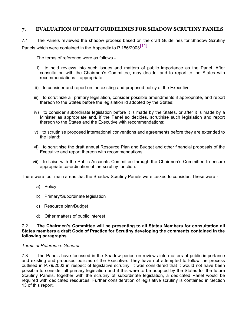## **7. EVALUATION OF DRAFT GUIDELINES FOR SHADOW SCRUTINY PANELS**

7.1 The Panels reviewed the shadow process based on the draft Guidelines for Shadow Scrutiny Panels which were contained in the Appendix to P.186/2003<sup>[11]</sup>

The terms of reference were as follows -

- i) to hold reviews into such issues and matters of public importance as the Panel. After consultation with the Chairmen's Committee, may decide, and to report to the States with recommendations if appropriate;
- ii) to consider and report on the existing and proposed policy of the Executive;
- iii) to scrutinize all primary legislation, consider possible amendments if appropriate, and report thereon to the States before the legislation id adopted by the States;
- iv) to consider subordinate legislation before it is made by the States, or after it is made by a Minister as appropriate and, if the Panel so decides, scrutinise such legislation and report thereon to the States and the Executive with recommendations;
- v) to scrutinise proposed international conventions and agreements before they are extended to the Island;
- vi) to scrutinise the draft annual Resource Plan and Budget and other financial proposals of the Executive and report thereon with recommendations;
- vii) to liaise with the Public Accounts Committee through the Chairmen's Committee to ensure appropriate co-ordination of the scrutiny function.

There were four main areas that the Shadow Scrutiny Panels were tasked to consider. These were -

- a) Policy
- b) Primary/Subordinate legislation
- c) Resource plan/Budget
- d) Other matters of public interest

#### 7.2 **The Chairmen's Committee will be presenting to all States Members for consultation all States members a draft Code of Practice for Scrutiny developing the comments contained in the following paragraphs.**

#### *Terms of Reference: General*

7.3 The Panels have focussed in the Shadow period on reviews into matters of public importance and existing and proposed policies of the Executive. They have not attempted to follow the process outlined in P.79/2003 in respect of legislative scrutiny. It was considered that it would not have been possible to consider all primary legislation and if this were to be adopted by the States for the future Scrutiny Panels, together with the scrutiny of subordinate legislation, a dedicated Panel would be required with dedicated resources. Further consideration of legislative scrutiny is contained in Section 13 of this report.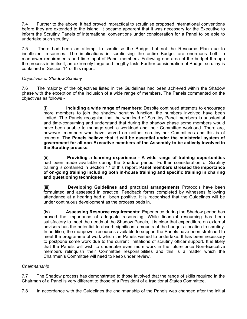7.4 Further to the above, it had proved impractical to scrutinise proposed international conventions before they are extended to the Island. It became apparent that it was necessary for the Executive to inform the Scrutiny Panels of international conventions under consideration for a Panel to be able to undertake such scrutiny.

7.5 There had been an attempt to scrutinise the Budget but not the Resource Plan due to insufficient resources. The implications in scrutinising the entire Budget are enormous both in manpower requirements and time-input of Panel members. Following one area of the budget through the process is in itself, an extremely large and lengthy task. Further consideration of Budget scrutiny is contained in Section 14 of this report.

#### *Objectives of Shadow Scrutiny*

7.6 The majority of the objectives listed in the Guidelines had been achieved within the Shadow phase with the exception of the inclusion of a wide range of members. The Panels commented on the objectives as follows -

> (i)  **Including a wide range of members**: Despite continued attempts to encourage more members to join the shadow scrutiny function, the numbers involved have been limited. The Panels recognise that the workload of Scrutiny Panel members is substantial and time-consuming and understand that during the shadow phase some members would have been unable to manage such a workload and their Committee workload. There are, however, members who have served on neither scrutiny nor Committees and this is of concern. **The Panels believe that it will be essential under the ministerial system of government for all non-Executive members of the Assembly to be actively involved in the Scrutiny process.**

> (ii)  **Providing a learning experience - A wide range of training opportunities** had been made available during the Shadow period. Further consideration of Scrutiny training is contained in Section 17 of this report. **Panel members stressed the importance of on-going training including both in-house training and specific training in chairing and questioning techniques.**

> (iii)  **Developing Guidelines and practical arrangements** Protocols have been formulated and assessed in practice. Feedback forms completed by witnesses following attendance at a hearing had all been positive. It is recognised that the Guidelines will be under continuous development as the process beds in.

> (iv)  **Assessing Resource requirements:** Experience during the Shadow period has proved the importance of adequate resourcing. While financial resourcing has been satisfactory to meet the needs of the Shadow Panels, it is clear that expenditure on external advisers has the potential to absorb significant amounts of the budget allocation to scrutiny. In addition, the manpower resources available to support the Panels have been stretched to meet the programme of work which the Panels wished to undertake. It has been necessary to postpone some work due to the current limitations of scrutiny officer support. It is likely that the Panels will wish to undertake even more work in the future once Non-Executive members relinquish their Committee responsibilities and this is a matter which the Chairmen's Committee will need to keep under review.

#### *Chairmanship*

7.7 The Shadow process has demonstrated to those involved that the range of skills required in the Chairman of a Panel is very different to those of a President of a traditional States Committee.

7.8 In accordance with the Guidelines the chairmanship of the Panels was changed after the initial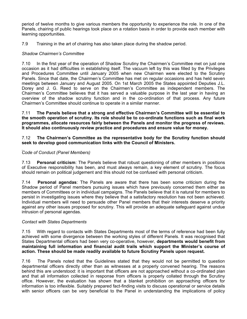period of twelve months to give various members the opportunity to experience the role. In one of the Panels, chairing of public hearings took place on a rotation basis in order to provide each member with learning opportunities.

7.9 Training in the art of chairing has also taken place during the shadow period.

#### *Shadow Chairmen's Committee*

7.10 In the first year of the operation of Shadow Scrutiny the Chairmen's Committee met on just one occasion as it had difficulties in establishing itself. The vacuum left by this was filled by the Privileges and Procedures Committee until January 2005 when new Chairmen were elected to the Scrutiny Panels. Since that date, the Chairmen's Committee has met on regular occasions and has held seven meetings between January and August 2005. On 1st March 2005 the States appointed Deputies J.L. Dorey and J. G. Reed to serve on the Chairmen's Committee as independent members. The Chairmen's Committee believes that it has served a valuable purpose in the last year in having an overview of the shadow scrutiny function and in the co-ordination of that process. Any future Chairmen's Committee should continue to operate in a similar manner.

7.11 **The Panels believe that a strong and effective Chairmen's Committee will be essential to the smooth operation of scrutiny. Its role should be to co-ordinate functions such as final work programmes, allocate resources fairly between the Panels and monitor the progress of reviews. It should also continuously review practice and procedures and ensure value for money.**

#### 7.12 **The Chairmen's Committee as the representative body for the Scrutiny function should seek to develop good communication links with the Council of Ministers.**

#### *Code of Conduct (Panel Members)*

7.13 **Personal criticism**: The Panels believe that robust questioning of other members in positions of Executive responsibility has been, and must always remain, a key element of scrutiny. The focus should remain on political judgement and this should not be confused with personal criticism.

7.14 **Personal agendas**: The Panels are aware that there has been some criticism during the Shadow period of Panel members pursuing issues which have previously concerned them either as members of Committees or in individual campaigns. The Panels believe that it is natural for members to persist in investigating issues where they believe that a satisfactory resolution has not been achieved. Individual members will need to persuade other Panel members that their interests deserve a priority against any other issues proposed for scrutiny. This will provide an adequate safeguard against undue intrusion of personal agendas.

#### *Contact with States Departments*

7.15 With regard to contacts with States Departments most of the terms of reference had been fully achieved with some divergence between the working styles of different Panels. It was recognised that States Departmental officers had been very co-operative, however, **departments would benefit from maintaining full information and financial audit trails which support the Minister's course of action. These should be made readily available to future Scrutiny Panels upon request.**

7.16 The Panels noted that the Guidelines stated that they would not be permitted to question departmental officers directly other than as witnesses at a properly convened hearing. The reasons behind this are understood: it is important that officers are not approached without a co-ordinated plan and that all information collected in response from officers is properly collated through the Scrutiny office. However, the evaluation has shown that a blanket prohibition on approaching officers for information is too inflexible. Suitably prepared fact-finding visits to discuss operational or service details with senior officers can be very beneficial to the Panel in understanding the implications of policy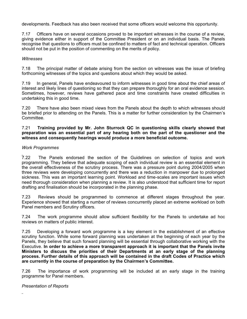developments. Feedback has also been received that some officers would welcome this opportunity.

7.17 Officers have on several occasions proved to be important witnesses in the course of a review, giving evidence either in support of the Committee President or on an individual basis. The Panels recognise that questions to officers must be confined to matters of fact and technical operation. Officers should not be put in the position of commenting on the merits of policy.

#### *Witnesses*

7.18 The principal matter of debate arising from the section on witnesses was the issue of briefing forthcoming witnesses of the topics and questions about which they would be asked.

7.19 In general, Panels have endeavoured to inform witnesses in good time about the chief areas of interest and likely lines of questioning so that they can prepare thoroughly for an oral evidence session. Sometimes, however, reviews have gathered pace and time constraints have created difficulties in undertaking this in good time.

7.20 There have also been mixed views from the Panels about the depth to which witnesses should be briefed prior to attending on the Panels. This is a matter for further consideration by the Chairmen's Committee.

#### 7.21 **Training provided by Mr. John Sturrock QC in questioning skills clearly showed that preparation was an essential part of any hearing both on the part of the questioner and the witness and consequently hearings would produce a more beneficial outcome.**

#### *Work Programmes*

7.22 The Panels endorsed the section of the Guidelines on selection of topics and work programming. They believe that adequate scoping of each individual review is an essential element in the overall effectiveness of the scrutiny process. There was a pressure point during 2004/2005 when three reviews were developing concurrently and there was a reduction in manpower due to prolonged sickness. This was an important learning point. Workload and time-scales are important issues which need thorough consideration when planning a review. It is also understood that sufficient time for report drafting and finalisation should be incorporated in the planning phase.

7.23 Reviews should be programmed to commence at different stages throughout the year. Experience showed that starting a number of reviews concurrently placed an extreme workload on both Panel members and Scrutiny officers.

7.24 The work programme should allow sufficient flexibility for the Panels to undertake ad hoc reviews on matters of public interest.

7.25 Developing a forward work programme is a key element in the establishment of an effective scrutiny function. While some forward planning was undertaken at the beginning of each year by the Panels, they believe that such forward planning will be essential through collaborative working with the Executive. **In order to achieve a more transparent approach it is important that the Panels invite Ministers to discuss the priorities of their Departments at an early stage of the planning process. Further details of this approach will be contained in the draft Codes of Practice which are currently in the course of preparation by the Chairmen's Committee.**

7.26 The importance of work programming will be included at an early stage in the training programme for Panel members.

#### *Presentation of Reports*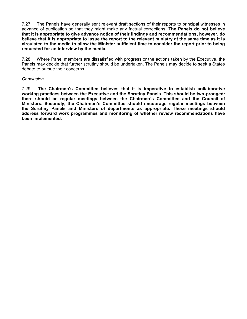7.27 The Panels have generally sent relevant draft sections of their reports to principal witnesses in advance of publication so that they might make any factual corrections. **The Panels do not believe that it is appropriate to give advance notice of their findings and recommendations**, **however, do believe that it is appropriate to issue the report to the relevant ministry at the same time as it is circulated to the media to allow the Minister sufficient time to consider the report prior to being requested for an interview by the media.**

7.28 Where Panel members are dissatisfied with progress or the actions taken by the Executive, the Panels may decide that further scrutiny should be undertaken. The Panels may decide to seek a States debate to pursue their concerns

#### *Conclusion*

7.29 **The Chairmen's Committee believes that it is imperative to establish collaborative working practices between the Executive and the Scrutiny Panels. This should be two-pronged: there should be regular meetings between the Chairmen's Committee and the Council of Ministers. Secondly, the Chairmen's Committee should encourage regular meetings between the Scrutiny Panels and Ministers of departments as appropriate. These meetings should address forward work programmes and monitoring of whether review recommendations have been implemented.**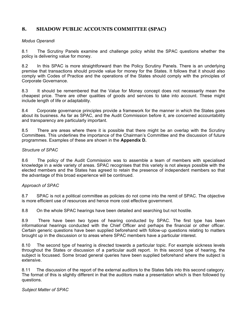## **8. SHADOW PUBLIC ACCOUNTS COMMITTEE (SPAC)**

#### *Modus Operandi*

8.1 The Scrutiny Panels examine and challenge policy whilst the SPAC questions whether the policy is delivering value for money.

8.2 In this SPAC is more straightforward than the Policy Scrutiny Panels. There is an underlying premise that transactions should provide value for money for the States. It follows that it should also comply with Codes of Practice and the operations of the States should comply with the principles of Corporate Governance.

8.3 It should be remembered that the Value for Money concept does not necessarily mean the cheapest price. There are other qualities of goods and services to take into account. These might include length of life or adaptability.

8.4 Corporate governance principles provide a framework for the manner in which the States goes about its business. As far as SPAC, and the Audit Commission before it, are concerned accountability and transparency are particularly important.

8.5 There are areas where there it is possible that there might be an overlap with the Scrutiny Committees. This underlines the importance of the Chairman's Committee and the discussion of future programmes. Examples of these are shown in the **Appendix D.**

#### *Structure of SPAC*

8.6 The policy of the Audit Commission was to assemble a team of members with specialised knowledge in a wide variety of areas. SPAC recognises that this variety is not always possible with the elected members and the States has agreed to retain the presence of independent members so that the advantage of this broad experience will be continued.

#### *Approach of SPAC*

8.7 SPAC is not a political committee as policies do not come into the remit of SPAC. The objective is more efficient use of resources and hence more cost effective government.

8.8 On the whole SPAC hearings have been detailed and searching but not hostile.

8.9 There have been two types of hearing conducted by SPAC. The first type has been informational hearings conducted with the Chief Officer and perhaps the financial or other officer. Certain generic questions have been supplied beforehand with follow-up questions relating to matters brought up in the discussion or to areas where SPAC members have a particular interest.

8.10 The second type of hearing is directed towards a particular topic. For example sickness levels throughout the States or discussion of a particular audit report. In this second type of hearing, the subject is focussed. Some broad general queries have been supplied beforehand where the subject is extensive.

8.11 The discussion of the report of the external auditors to the States falls into this second category. The format of this is slightly different in that the auditors make a presentation which is then followed by questions.

#### *Subject Matter of SPAC*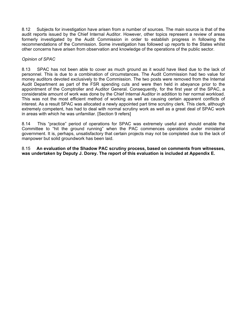8.12 Subjects for investigation have arisen from a number of sources. The main source is that of the audit reports issued by the Chief Internal Auditor. However, other topics represent a review of areas formerly investigated by the Audit Commission in order to establish progress in following the recommendations of the Commission. Some investigation has followed up reports to the States whilst other concerns have arisen from observation and knowledge of the operations of the public sector.

#### *Opinion of SPAC*

8.13 SPAC has not been able to cover as much ground as it would have liked due to the lack of personnel. This is due to a combination of circumstances. The Audit Commission had two value for money auditors devoted exclusively to the Commission. The two posts were removed from the Internal Audit Department as part of the FSR spending cuts and were then held in abeyance prior to the appointment of the Comptroller and Auditor General. Consequently, for the first year of the SPAC, a considerable amount of work was done by the Chief Internal Auditor in addition to her normal workload. This was not the most efficient method of working as well as causing certain apparent conflicts of interest. As a result SPAC was allocated a newly appointed part time scrutiny clerk. This clerk, although extremely competent, has had to deal with normal scrutiny work as well as a great deal of SPAC work in areas with which he was unfamiliar. [Section 9 refers]

8.14 This "practice" period of operations for SPAC was extremely useful and should enable the Committee to "hit the ground running" when the PAC commences operations under ministerial government. It is, perhaps, unsatisfactory that certain projects may not be completed due to the lack of manpower but solid groundwork has been laid.

8.15 **An evaluation of the Shadow PAC scrutiny process, based on comments from witnesses, was undertaken by Deputy J. Dorey. The report of this evaluation is included at Appendix E.**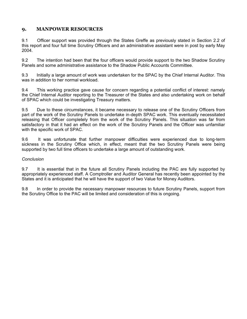## **9. MANPOWER RESOURCES**

9.1 Officer support was provided through the States Greffe as previously stated in Section 2.2 of this report and four full time Scrutiny Officers and an administrative assistant were in post by early May 2004.

9.2 The intention had been that the four officers would provide support to the two Shadow Scrutiny Panels and some administrative assistance to the Shadow Public Accounts Committee.

9.3 Initially a large amount of work was undertaken for the SPAC by the Chief Internal Auditor. This was in addition to her normal workload.

9.4 This working practice gave cause for concern regarding a potential conflict of interest: namely the Chief Internal Auditor reporting to the Treasurer of the States and also undertaking work on behalf of SPAC which could be investigating Treasury matters.

9.5 Due to these circumstances, it became necessary to release one of the Scrutiny Officers from part of the work of the Scrutiny Panels to undertake in-depth SPAC work. This eventually necessitated releasing that Officer completely from the work of the Scrutiny Panels. This situation was far from satisfactory in that it had an effect on the work of the Scrutiny Panels and the Officer was unfamiliar with the specific work of SPAC.

9.6 It was unfortunate that further manpower difficulties were experienced due to long-term sickness in the Scrutiny Office which, in effect, meant that the two Scrutiny Panels were being supported by two full time officers to undertake a large amount of outstanding work.

#### *Conclusion*

9.7 It is essential that in the future all Scrutiny Panels including the PAC are fully supported by appropriately experienced staff. A Comptroller and Auditor General has recently been appointed by the States and it is anticipated that he will have the support of two Value for Money Auditors.

9.8 In order to provide the necessary manpower resources to future Scrutiny Panels, support from the Scrutiny Office to the PAC will be limited and consideration of this is ongoing.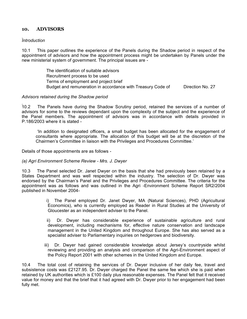## **10. ADVISORS**

#### *Introduction*

10.1 This paper outlines the experience of the Panels during the Shadow period in respect of the appointment of advisors and how the appointment process might be undertaken by Panels under the new ministerial system of government. The principal issues are -

> The identification of suitable advisors Recruitment process to be used Terms of employment and project brief Budget and remuneration in accordance with Treasury Code of Direction No. 27

#### *Advisors retained during the Shadow period*

10.2 The Panels have during the Shadow Scrutiny period, retained the services of a number of advisors for some to the reviews dependant upon the complexity of the subject and the experience of the Panel members. The appointment of advisors was in accordance with details provided in P.186/2003 where it is stated -

 'In addition to designated officers, a small budget has been allocated for the engagement of consultants where appropriate. The allocation of this budget will be at the discretion of the Chairmen's Committee in liaison with the Privileges and Procedures Committee.'

Details of those appointments are as follows -

#### *(a) Agri Environment Scheme Review - Mrs. J. Dwyer*

10.3 The Panel selected Dr. Janet Dwyer on the basis that she had previously been retained by a States Department and was well respected within the industry. The selection of Dr. Dwyer was endorsed by the Chairman's Panel and the Privileges and Procedures Committee. The criteria for the appointment was as follows and was outlined in the Agri -Environment Scheme Report SR2/2004 published in November 2004-

> i) The Panel employed Dr. Janet Dwyer, MA (Natural Sciences), PHD (Agricultural Economics), who is currently employed as Reader in Rural Studies at the University of Gloucester as an independent adviser to the Panel.

> ii) Dr. Dwyer has considerable experience of sustainable agriculture and rural development, including mechanisms for, effective nature conservation and landscape management in the United Kingdom and throughout Europe. She has also served as a specialist adviser to Parliamentary inquiries on hedgerows and biodiversity.

 iii) Dr. Dwyer had gained considerable knowledge about Jersey's countryside whilst reviewing and providing an analysis and comparison of the Agri-Environment aspect of the Policy Report 2001 with other schemes in the United Kingdom and Europe.

10.4 The total cost of retaining the services of Dr. Dwyer inclusive of her daily fee, travel and subsistence costs was £2127.95. Dr. Dwyer charged the Panel the same fee which she is paid when retained by UK authorities which is £100 daily plus reasonable expenses. The Panel felt that it received value for money and that the brief that it had agreed with Dr. Dwyer prior to her engagement had been fully met.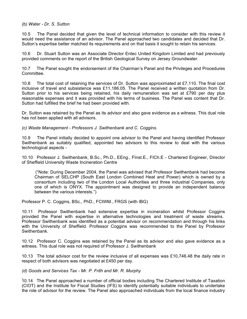#### *(b) Water - Dr. S. Sutton*

10.5 The Panel decided that given the level of technical information to consider with this review it would need the assistance of an advisor. The Panel approached two candidates and decided that Dr. Sutton's expertise better matched its requirements and on that basis it sought to retain his services.

10.6 Dr. Stuart Sutton was an Associate Director Entec United Kingdom Limited and had previously provided comments on the report of the British Geological Survey on Jersey Groundwater.

10.7 The Panel sought the endorsement of the Chairman's Panel and the Privileges and Procedures Committee.

10.8 The total cost of retaining the services of Dr. Sutton was approximated at  $£7,110$ . The final cost inclusive of travel and subsistence was £11,186.05. The Panel received a written quotation from Dr. Sutton prior to his services being retained, his daily remuneration was set at £790 per day plus reasonable expenses and it was provided with his terms of business. The Panel was content that Dr. Sutton had fulfilled the brief he had been provided with.

Dr. Sutton was retained by the Panel as its advisor and also gave evidence as a witness. This dual role has not been applied with all advisors.

*(c) Waste Management - Professors J. Swithenbank and C. Coggins.*

10.9 The Panel initially decided to appoint one advisor to the Panel and having identified Professor Swithenbank as suitably qualified, appointed two advisors to this review to deal with the various technological aspects -

10.10 Professor J. Swithenbank, B.Sc., Ph.D., EEng., FInst.E., FICh.E - Chartered Engineer, Director of Sheffield University Waste Incineration Centre

 ("Note: During December 2004, the Panel was advised that Professor Swithenbank had become Chairman of SELCHP (South East London Combined Heat and Power) which is owned by a consortium including two of the London Local Authorities and three industrial Companies, only one of which is ONYX. The appointment was designed to provide an independent balance between the various interests.")

Professor P. C. Coggins, BSc., PhD., FCIWM., FRGS (with IBG)

10.11 Professor Swithenbank had extensive expertise in incineration whilst Professor Coggins provided the Panel with expertise in alternative technologies and treatment of waste streams. Professor Swithenbank was identified as a potential advisor on recommendation and through his links with the University of Sheffield. Professor Coggins was recommended to the Panel by Professor Swithenbank.

10.12 Professor C. Coggins was retained by the Panel as its advisor and also gave evidence as a witness. This dual role was not required of Professor J. Swithenbank

10.13 The total advisor cost for the review inclusive of all expenses was £10,746.48 the daily rate in respect of both advisors was negotiated at £450 per day.

#### *(d) Goods and Services Tax - Mr. P. Frith and Mr. R. Murphy*

10.14 The Panel approached a number of official bodies including The Chartered Institute of Taxation (CIOT) and the Institute for Fiscal Studies (IFS) to identify potentially suitable individuals to undertake the role of advisor for the review. The Panel also approached individuals from the local finance industry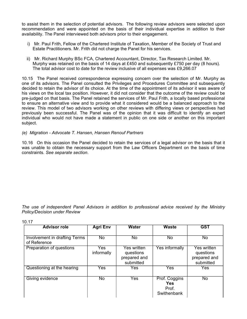to assist them in the selection of potential advisors. The following review advisors were selected upon recommendation and were appointed on the basis of their individual expertise in addition to their availability. The Panel interviewed both advisors prior to their engagement.

- i) Mr. Paul Frith, Fellow of the Chartered Institute of Taxation, Member of the Society of Trust and Estate Practitioners. Mr. Frith did not charge the Panel for his services.
- ii) Mr. Richard Murphy BSc FCA, Chartered Accountant, Director, Tax Research Limited. Mr. Murphy was retained on the basis of 14 days at £450 and subsequently £750 per day (8 hours). The total advisor cost to date for the review inclusive of all expenses was £9,266.07

10.15 The Panel received correspondence expressing concern over the selection of Mr. Murphy as one of its advisors. The Panel consulted the Privileges and Procedures Committee and subsequently decided to retain the advisor of its choice. At the time of the appointment of its advisor it was aware of his views on the local tax position. However, it did not consider that the outcome of the review could be pre-judged on that basis. The Panel retained the services of Mr. Paul Frith, a locally based professional to ensure an alternative view and to provide what it considered would be a balanced approach to the review. This model of two advisors working on other reviews with differing views or perspectives had previously been successful. The Panel was of the opinion that it was difficult to identify an expert individual who would not have made a statement in public on one side or another on this important subject.

#### *(e) Migration - Advocate T. Hansen, Hansen Renouf Partners*

10.16 On this occasion the Panel decided to retain the services of a legal advisor on the basis that it was unable to obtain the necessary support from the Law Officers Department on the basis of time constraints. *See separate section*.

*The use of independent Panel Advisors in addition to professional advice received by the Ministry Policy/Decision under Review*

| <b>Advisor role</b>                           | <b>Agri Env</b>        | Water                                                        | <b>Waste</b>                                        | <b>GST</b>                                            |
|-----------------------------------------------|------------------------|--------------------------------------------------------------|-----------------------------------------------------|-------------------------------------------------------|
| Involvement in drafting Terms<br>of Reference | $\overline{\text{No}}$ | No                                                           | No                                                  | No                                                    |
| Preparation of questions                      | Yes<br>informally      | <b>Yes written</b><br>questions<br>prepared and<br>submitted | Yes informally                                      | Yes written<br>questions<br>prepared and<br>submitted |
| Questioning at the hearing                    | Yes                    | Yes.                                                         | Yes                                                 | Yes                                                   |
| Giving evidence                               | No                     | Yes                                                          | Prof. Coggins<br><b>Yes</b><br>Prof.<br>Swithenbank | <b>No</b>                                             |

10.17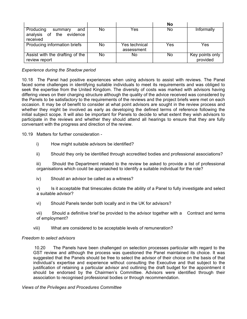|                                                                     |     |                             | No  |                             |
|---------------------------------------------------------------------|-----|-----------------------------|-----|-----------------------------|
| Producing<br>and<br>summary<br>analysis of the evidence<br>received | No. | Yes                         | No  | Informally                  |
| Producing information briefs                                        | No. | Yes technical<br>assessment | Yes | Yes                         |
| Assist with the drafting of the<br>review report                    | No. | No.                         | No. | Key points only<br>provided |

#### *Experience during the Shadow period*

10.18 The Panel had positive experiences when using advisors to assist with reviews. The Panel faced some challenges in identifying suitable individuals to meet its requirements and was obliged to seek the expertise from the United Kingdom. The diversity of costs was marked with advisors having differing views on their charging structure although the quality of the advice received was considered by the Panels to be satisfactory to the requirements of the reviews and the project briefs were met on each occasion. It may be of benefit to consider at what point advisors are sought in the review process and whether they might be involved as early as developing the defined terms of reference following the initial subject scope. It will also be important for Panels to decide to what extent they wish advisors to participate in the reviews and whether they should attend all hearings to ensure that they are fully conversant with the progress and direction of the review.

10.19 Matters for further consideration -

- i) How might suitable advisors be identified?
- ii) Should they only be identified through accredited bodies and professional associations?

iii) Should the Department related to the review be asked to provide a list of professional organisations which could be approached to identify a suitable individual for the role?

iv) Should an advisor be called as a witness?

v) Is it acceptable that timescales dictate the ability of a Panel to fully investigate and select a suitable advisor?

vi) Should Panels tender both locally and in the UK for advisors?

vii) Should a definitive brief be provided to the advisor together with a Contract and terms of employment?

viii) What are considered to be acceptable levels of remuneration?

#### *Freedom to select advisors*

 10.20 The Panels have been challenged on selection processes particular with regard to the GST review and although the process was questioned the Panel maintained its choice. It was suggested that the Panels should be free to select the advisor of their choice on the basis of that individual's expertise and experience without consulting the Executive and that subject to the justification of retaining a particular advisor and outlining the draft budget for the appointment it should be endorsed by the Chairmen's Committee. Advisors were identified through their association to recognised professional bodies or through recommendation.

*Views of the Privileges and Procedures Committee*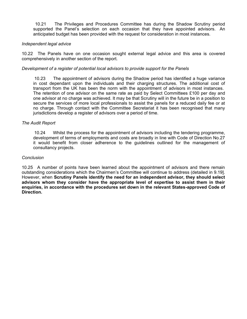10.21 The Privileges and Procedures Committee has during the Shadow Scrutiny period supported the Panel's selection on each occasion that they have appointed advisors. An anticipated budget has been provided with the request for consideration in most instances.

#### *Independent legal advice*

10.22 The Panels have on one occasion sought external legal advice and this area is covered comprehensively in another section of the report.

#### *Development of a register of potential local advisors to provide support for the Panels*

 10.23 The appointment of advisors during the Shadow period has identified a huge variance in cost dependant upon the individuals and their charging structures. The additional cost of transport from the UK has been the norm with the appointment of advisors in most instances. The retention of one advisor on the same rate as paid by Select Committees £100 per day and one advisor at no charge was achieved. It may be that Scrutiny will in the future be in a position to secure the services of more local professionals to assist the panels for a reduced daily fee or at no charge. Through contact with the Committee Secretariat it has been recognised that many jurisdictions develop a register of advisors over a period of time.

#### *The Audit Report*

 10.24 Whilst the process for the appointment of advisors including the tendering programme, development of terms of employments and costs are broadly in line with Code of Direction No.27 it would benefit from closer adherence to the guidelines outlined for the management of consultancy projects.

#### *Conclusion*

10.25 A number of points have been learned about the appointment of advisors and there remain outstanding considerations which the Chairmen's Committee will continue to address (detailed in 9.19]. However, when **Scrutiny Panels identify the need for an independent advisor, they should select advisors whom they consider have the appropriate level of expertise to assist them in their enquiries, in accordance with the procedures set down in the relevant States-approved Code of Direction.**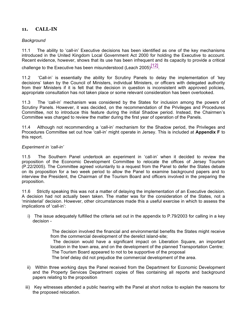## **11. CALL-IN**

#### *Background*

11.1 The ability to 'call-in' Executive decisions has been identified as one of the key mechanisms introduced in the United Kingdom Local Government Act 2000 for holding the Executive to account. Recent evidence, however, shows that its use has been infrequent and its capacity to provide a critical

challenge to the Executive has been misunderstood (Leach 2005) $\left[ \frac{12}{2} \right]$ 

11.2 'Call-in' is essentially the ability for Scrutiny Panels to delay the implementation of 'key decisions' taken by the Council of Ministers, individual Ministers, or officers with delegated authority from their Ministers if it is felt that the decision in question is inconsistent with approved policies, appropriate consultation has not taken place or some relevant consideration has been overlooked.

11.3 The 'call-in' mechanism was considered by the States for inclusion among the powers of Scrutiny Panels. However, it was decided, on the recommendation of the Privileges and Procedures Committee, not to introduce this feature during the initial Shadow period. Instead, the Chairmen's Committee was charged to review the matter during the first year of operation of the Panels.

11.4 Although not recommending a 'call-in' mechanism for the Shadow period, the Privileges and Procedures Committee set out how 'call-in' might operate in Jersey. This is included at **Appendix F** to this report.

#### *Experiment in 'call-in'*

11.5 The Southern Panel undertook an experiment in 'call-in' when it decided to review the proposition of the Economic Development Committee to relocate the offices of Jersey Tourism (P.22/2005). The Committee agreed voluntarily to a request from the Panel to defer the States debate on its proposition for a two week period to allow the Panel to examine background papers and to interview the President, the Chairman of the Tourism Board and officers involved in the preparing the proposition.

11.6 Strictly speaking this was not a matter of delaying the implementation of an Executive decision. A decision had not actually been taken. The matter was for the consideration of the States, not a 'ministerial' decision. However, other circumstances made this a useful exercise in which to assess the implications of 'call-in':

 i) The issue adequately fulfilled the criteria set out in the appendix to P.79/2003 for calling in a key decision -

> The decision involved the financial and environmental benefits the States might receive from the commercial development of the derelict island-site;

> The decision would have a significant impact on Liberation Square, an important location in the town area, and on the development of the planned Transportation Centre; The Tourism Board appeared to not to be supportive of the proposal

The brief delay did not prejudice the commercial development of the area.

- ii) Within three working days the Panel received from the Department for Economic Development and the Property Services Department copies of files containing all reports and background papers relating to the proposition
- iii) Key witnesses attended a public hearing with the Panel at short notice to explain the reasons for the proposed relocation.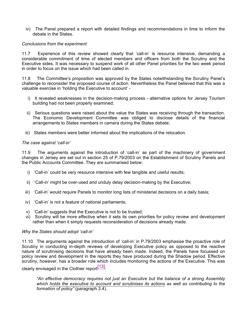iv) The Panel prepared a report with detailed findings and recommendations in time to inform the debate in the States.

#### *Conclusions from the experiment*

11.7 Experience of this review showed clearly that 'call-in' is resource intensive, demanding a considerable commitment of time of elected members and officers from both the Scrutiny and the Executive sides. It was necessary to suspend work of all other Panel priorities for the two week period in order to focus on the issue which had been called in.

11.8 The Committee's proposition was approved by the States notwithstanding the Scrutiny Panel's challenge to reconsider the proposed course of action. Nevertheless the Panel believed that this was a valuable exercise in 'holding the Executive to account' -

- i) It revealed weaknesses in the decision-making process alternative options for Jersey Tourism building had not been properly examined;
- ii) Serious questions were raised about the value the States was receiving through the transaction. The Economic Development Committee was obliged to disclose details of the financial arrangements to States members in camera during the States debate;
- iii) States members were better informed about the implications of the relocation.

#### *The case against 'call-in'*

11.9 The arguments against the introduction of 'call-in' as part of the machinery of government changes in Jersey are set out in section 25 of P.79/2003 on the Establishment of Scrutiny Panels and the Public Accounts Committee. They are summarised below:

- i) 'Call-in' could be very resource intensive with few tangible and useful results;
- ii) 'Call-in' might be over-used and unduly delay decision-making by the Executive;
- iii) 'Call-in' would require Panels to monitor long lists of ministerial decisions on a daily basis;
- iv) 'Call-in' is not a feature of national parliaments;
- v) 'Call-in' suggests that the Executive is not to be trusted;
- vi) Scrutiny will be more effective when it sets its own priorities for policy review and development rather than when it simply requests reconsideration of decisions already made.

#### *Why the States should adopt 'call-in'*

11.10 The arguments against the introduction of 'call-in' in P.79/2003 emphasise the proactive role of Scrutiny in conducting in-depth reviews of developing Executive policy as opposed to the reactive nature of scrutinising decisions that have already been made. Indeed, the Panels have focussed on policy review and development in the reports they have produced during the Shadow period. Effective scrutiny, however, has a broader role which includes monitoring the actions of the Executive. This was

clearly envisaged in the Clothier report $^{[13]}.$ 

*"An effective democracy requires not just an Executive but the balance of a strong Assembly which holds the executive to account and scrutinises its actions as well as contributing to the formation of policy"* (paragraph 3.4).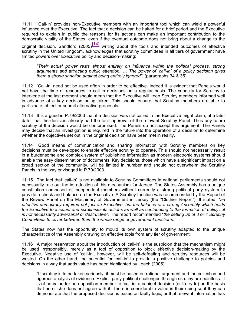11.11 'Call-in' provides non-Executive members with an important tool which can wield a powerful influence over the Executive. The fact that a decision can be halted for a brief period and the Executive required to explain in public the reasons for its actions can make an important contribution to the democratic vitality of the States, even if the eventual outcome does not bring about a change to the original decision. Sandford  $(2005)^{[14]}$  writing about the tools and intended outcomes of effective scrutiny in the United Kingdom, acknowledges that scrutiny committees in all tiers of government have

limited powers over Executive policy and decision-making:

*"Their actual power rests almost entirely on influence within the political process, strong arguments and attracting public attention. … The power of 'call-in' of a policy decision gives them a strong sanction against being entirely ignored".* (paragraphs 34 & 35)

11.12 'Call-in' need not be used often in order to be effective. Indeed it is evident that Panels would not have the time or resources to call in decisions on a regular basis. The capacity for Scrutiny to intervene at the last moment should mean that the Executive will keep Scrutiny members informed well in advance of a key decision being taken. This should ensure that Scrutiny members are able to participate, object or submit alternative proposals.

11.13 It is argued in P.79/2003 that if a decision was not called in the Executive might claim, at a later date, that the decision already had the tacit approval of the relevant Scrutiny Panel. Thus any future scrutiny of the decision would be compromised. The Panels do not accept this argument. The Panels may decide that an investigation is required in the future into the operation of a decision to determine whether the objectives set out in the original decision have been met in reality.

11.14 Good means of communication and sharing information with Scrutiny members on key decisions must be developed to enable effective scrutiny to operate. This should not necessarily result in a burdensome and complex system of publishing information as modern electronic systems should enable the easy dissemination of documents. Key decisions, those which have a significant impact on a broad section of the community, will be limited in number and should not overwhelm the Scrutiny Panels in the way envisaged in P.79/2003.

11.15 The fact that 'call-in' is not available to Scrutiny Committees in national parliaments should not necessarily rule out the introduction of this mechanism for Jersey. The States Assembly has a unique constitution composed of independent members without currently a strong political party system to provide a check and balance on the Executive. A Scrutiny function was recommended by the Report of the Review Panel on the Machinery of Government in Jersey (the "Clothier Report"). It stated: *"an effective democracy required not just an Executive, but the balance of a strong Assembly which holds the Executive to account and scrutinises its actions as well as contributing to the formation of policy…it is not necessarily adversarial or destructive".* The report recommended "*the setting up of 3 or 4 Scrutiny Committees to cover between them the whole range of government functions."*

The States now has the opportunity to mould its own system of scrutiny adapted to the unique characteristics of the Assembly drawing on effective tools from any tier of government.

11.16 A major reservation about the introduction of 'call-in' is the suspicion that the mechanism might be used irresponsibly, merely as a tool of opposition to block effective decision-making by the Executive. Negative use of 'call-in', however, will be self-defeating and scrutiny resources will be wasted. On the other hand, the potential for 'call-in' to provide a positive challenge to policies and decisions in a way that adds value has been highlighted by Leach (2005):

"If scrutiny is to be taken seriously, it must be based on rational argument and the collection and rigorous analysis of evidence. Explicit party political challenges through scrutiny are pointless. It is of no value for an opposition member to 'call in' a cabinet decision (or to try to) on the basis that he or she does not agree with it. There is considerable value in their doing so if they can demonstrate that the proposed decision is based on faulty logic, or that relevant information has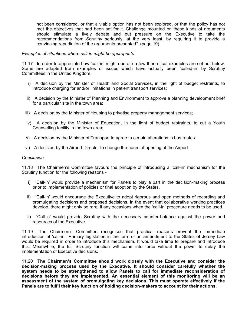not been considered, or that a viable option has not been explored, or that the policy has not met the objectives that had been set for it. Challenge mounted on these kinds of arguments should stimulate a lively debate and put pressure on the Executive to take the recommendations from Scrutiny seriously, at the very least, by requiring it to provide a convincing repudiation of the arguments presented". (page 19)

#### *Examples of situations where call-in might be appropriate*

11.17 In order to appreciate how 'call-in' might operate a few theoretical examples are set out below. Some are adapted from examples of issues which have actually been 'called-in' by Scrutiny Committees in the United Kingdom.

- i) A decision by the Minister of Health and Social Services, in the light of budget restraints, to introduce charging for and/or limitations in patient transport services;
- ii) A decision by the Minister of Planning and Environment to approve a planning development brief for a particular site in the town area;
- iii) A decision by the Minister of Housing to privatise property management services;
- iv) A decision by the Minister of Education, in the light of budget restraints, to cut a Youth Counselling facility in the town area;
- v) A decision by the Minister of Transport to agree to certain alterations in bus routes
- vi) A decision by the Airport Director to change the hours of opening at the Airport

#### *Conclusion*

11.18 The Chairmen's Committee favours the principle of introducing a 'call-in' mechanism for the Scrutiny function for the following reasons -

- i) 'Call-in' would provide a mechanism for Panels to play a part in the decision-making process prior to implementation of policies or final adoption by the States.
- ii) 'Call-in' would encourage the Executive to adopt rigorous and open methods of recording and promulgating decisions and proposed decisions. In the event that collaborative working practices develop, there might only be rare, if any occasions when the 'call-in' procedure needs to be used.
- iii) 'Call-in' would provide Scrutiny with the necessary counter-balance against the power and resources of the Executive.

11.19 The Chairmen's Committee recognises that practical reasons prevent the immediate introduction of 'call-in'. Primary legislation in the form of an amendment to the States of Jersey Law would be required in order to introduce this mechanism. It would take time to prepare and introduce this. Meanwhile, the full Scrutiny function will come into force without the power to delay the implementation of Executive decisions.

11.20 **The Chairmen's Committee should work closely with the Executive and consider the decision-making process used by the Executive. It should consider carefully whether the system needs to be strengthened to allow Panels to call for immediate reconsideration of decisions before they are implemented. An essential element of this monitoring will be an assessment of the system of promulgating key decisions. This must operate effectively if the Panels are to fulfil their key function of holding decision-makers to account for their actions.**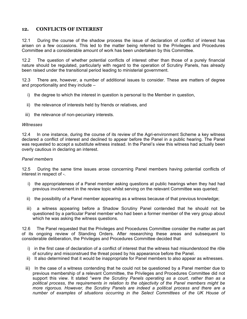# **12. CONFLICTS OF INTEREST**

12.1 During the course of the shadow process the issue of declaration of conflict of interest has arisen on a few occasions. This led to the matter being referred to the Privileges and Procedures Committee and a considerable amount of work has been undertaken by this Committee.

12.2 The question of whether potential conflicts of interest other than those of a purely financial nature should be regulated, particularly with regard to the operation of Scrutiny Panels, has already been raised under the transitional period leading to ministerial government.

12.3 There are, however, a number of additional issues to consider. These are matters of degree and proportionality and they include –

- i) the degree to which the interest in question is personal to the Member in question,
- ii) the relevance of interests held by friends or relatives, and
- iii) the relevance of non-pecuniary interests.

## *Witnesses*

12.4 In one instance, during the course of its review of the Agri-environment Scheme a key witness declared a conflict of interest and declined to appear before the Panel in a public hearing. The Panel was requested to accept a substitute witness instead. In the Panel's view this witness had actually been overly cautious in declaring an interest.

#### *Panel members*

12.5 During the same time issues arose concerning Panel members having potential conflicts of interest in respect of -.

- i) the appropriateness of a Panel member asking questions at public hearings when they had had previous involvement in the review topic whilst serving on the relevant Committee was queried;
- ii) the possibility of a Panel member appearing as a witness because of that previous knowledge;
- iii) a witness appearing before a Shadow Scrutiny Panel contended that he should not be questioned by a particular Panel member who had been a former member of the very group about which he was asking the witness questions.

12.6 The Panel requested that the Privileges and Procedures Committee consider the matter as part of its ongoing review of Standing Orders. After researching these areas and subsequent to considerable deliberation, the Privileges and Procedures Committee decided that

- i) in the first case of declaration of a conflict of interest that the witness had misunderstood the rôle of scrutiny and misconstrued the threat posed by his appearance before the Panel.
- ii) It also determined that it would be inappropriate for Panel members to also appear as witnesses.
- iii) In the case of a witness contending that he could not be questioned by a Panel member due to previous membership of a relevant Committee, the Privileges and Procedures Committee did not support this view. It stated "*were the Scrutiny Panels operating as a court, rather than as a political process, the requirements in relation to the objectivity of the Panel members might be more rigorous. However, the Scrutiny Panels are indeed a political process and there are a number of examples of situations occurring in the Select Committees of the UK House of*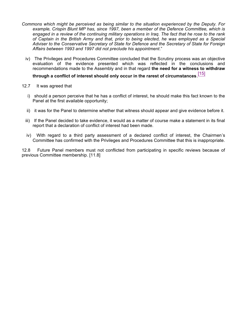- *Commons which might be perceived as being similar to the situation experienced by the Deputy. For example, Crispin Blunt MP has, since 1997, been a member of the Defence Committee, which is engaged in a review of the continuing military operations in Iraq. The fact that he rose to the rank of Captain in the British Army and that, prior to being elected, he was employed as a Special Adviser to the Conservative Secretary of State for Defence and the Secretary of State for Foreign Affairs between 1993 and 1997 did not preclude his appointment*."
	- iv) The Privileges and Procedures Committee concluded that the Scrutiny process was an objective evaluation of the evidence presented which was reflected in the conclusions and recommendations made to the Assembly and in that regard **the need for a witness to withdraw**

# **through a conflict of interest should only occur in the rarest of circumstances**. [15]

- 12.7 It was agreed that
	- i) should a person perceive that he has a conflict of interest, he should make this fact known to the Panel at the first available opportunity;
	- ii) it was for the Panel to determine whether that witness should appear and give evidence before it.
	- iii) If the Panel decided to take evidence, it would as a matter of course make a statement in its final report that a declaration of conflict of interest had been made.
	- iv) With regard to a third party assessment of a declared conflict of interest, the Chairmen's Committee has confirmed with the Privileges and Procedures Committee that this is inappropriate.

12.8 Future Panel members must not conflicted from participating in specific reviews because of previous Committee membership. [11.8]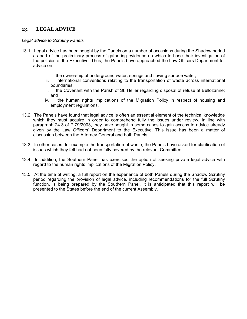# **13. LEGAL ADVICE**

## *Legal advice to Scrutiny Panels*

- 13.1. Legal advice has been sought by the Panels on a number of occasions during the Shadow period as part of the preliminary process of gathering evidence on which to base their investigation of the policies of the Executive. Thus, the Panels have approached the Law Officers Department for advice on:
	- i. the ownership of underground water, springs and flowing surface water;
	- ii. international conventions relating to the transportation of waste across international boundaries;
	- iii. the Covenant with the Parish of St. Helier regarding disposal of refuse at Bellozanne; and
	- iv. the human rights implications of the Migration Policy in respect of housing and employment regulations.
- 13.2. The Panels have found that legal advice is often an essential element of the technical knowledge which they must acquire in order to comprehend fully the issues under review. In line with paragraph 24.3 of P.79/2003, they have sought in some cases to gain access to advice already given by the Law Officers' Department to the Executive. This issue has been a matter of discussion between the Attorney General and both Panels.
- 13.3. In other cases, for example the transportation of waste, the Panels have asked for clarification of issues which they felt had not been fully covered by the relevant Committee.
- 13.4. In addition, the Southern Panel has exercised the option of seeking private legal advice with regard to the human rights implications of the Migration Policy.
- 13.5. At the time of writing, a full report on the experience of both Panels during the Shadow Scrutiny period regarding the provision of legal advice, including recommendations for the full Scrutiny function, is being prepared by the Southern Panel. It is anticipated that this report will be presented to the States before the end of the current Assembly.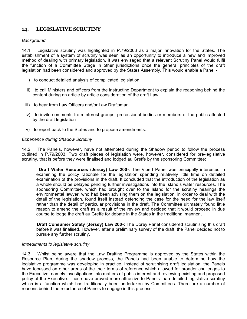# **14. LEGISLATIVE SCRUTINY**

## *Background*

14.1 Legislative scrutiny was highlighted in P.79/2003 as a major innovation for the States. The establishment of a system of scrutiny was seen as an opportunity to introduce a new and improved method of dealing with primary legislation. It was envisaged that a relevant Scrutiny Panel would fulfil the function of a Committee Stage in other jurisdictions once the general principles of the draft legislation had been considered and approved by the States Assembly. This would enable a Panel -

- i) to conduct detailed analysis of complicated legislation;
- ii) to call Ministers and officers from the instructing Department to explain the reasoning behind the content during an article by article consideration of the draft Law
- iii) to hear from Law Officers and/or Law Draftsman
- iv) to invite comments from interest groups, professional bodies or members of the public affected by the draft legislation
- v) to report back to the States and to propose amendments.

## *Experience during Shadow Scrutiny*

14.2 The Panels, however, have not attempted during the Shadow period to follow the process outlined in P.79/2003. Two draft pieces of legislation were, however, considered for pre-legislative scrutiny, that is before they were finalised and lodged au Greffe by the sponsoring Committee:

 **Draft Water Resources (Jersey) Law 200-**. The Vibert Panel was principally interested in examining the policy rationale for the legislation spending relatively little time on detailed examination of the provisions in the draft. It concluded that the introduction of the legislation as a whole should be delayed pending further investigations into the Island's water resources. The sponsoring Committee, which had brought over to the Island for the scrutiny hearings the environmental lawyer, who had been advising them on the legislation, in order to deal with the detail of the legislation, found itself instead defending the case for the need for the law itself rather than the detail of particular provisions in the draft. The Committee ultimately found little reason to amend the draft as a result of the review and decided that it would proceed in due course to lodge the draft au Greffe for debate in the States in the traditional manner .

 **Draft Consumer Safety (Jersey) Law 200-:** The Dorey Panel considered scrutinising this draft before it was finalised. However, after a preliminary survey of the draft, the Panel decided not to pursue any further scrutiny.

## *Impediments to legislative scrutiny*

14.3 Whilst being aware that the Law Drafting Programme is approved by the States within the Resource Plan, during the shadow process, the Panels had been unable to determine how the legislative programme was developing in practice. Instead of scrutinising draft legislation, the Panels have focussed on other areas of the their terms of reference which allowed for broader challenges to the Executive, namely investigations into matters of public interest and reviewing existing and proposed policy of the Executive. These have proved more attractive to Panels than detailed legislative scrutiny which is a function which has traditionally been undertaken by Committees. There are a number of reasons behind the reluctance of Panels to engage in this process -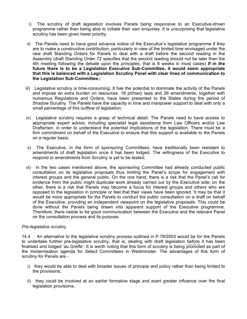- i) The scrutiny of draft legislation involves Panels being responsive to an Executive-driven programme rather than being able to initiate their own enquiries. It is unsurprising that legislative scrutiny has been given lower priority;
- ii) The Panels need to have good advance notice of the Executive's legislative programme if they are to make a constructive contribution, particularly in view of the limited time envisaged under the new draft Standing Orders for Panels to deal with a draft before the second reading in the Assembly (draft Standing Order 72 specifies that the second reading should not be later than the 4th meeting following the debate upon the principles, that is 8 weeks in most cases) **If in the future there is to be a Legislation Executive Sub-Committee, it would seem appropriate that this is balanced with a Legislation Scrutiny Panel with clear lines of communication to the Legislation Sub-Committee.;**
- iii) Legislative scrutiny is time-consuming. It has the potential to dominate the activity of the Panels and impose an extra burden on resources. 18 primary laws and 26 amendments, together with numerous Regulations and Orders, have been presented to the States during the period of Shadow Scrutiny. The Panels have the capacity in time and manpower support to deal with only a small percentage of this outflow of legislation;
- iv) Legislative scrutiny requires a grasp of technical detail. The Panels need to have access to appropriate expert advice, including specialist legal assistance from Law Officers and/or Law Draftsmen, in order to understand the potential implications of the legislation. There must be a firm commitment on behalf of the Executive to ensure that this support is available to the Panels on a regular basis;
- v) The Executive, in the form of sponsoring Committees, have traditionally been resistant to amendments of draft legislation once it has been lodged. The willingness of the Executive to respond to amendments from Scrutiny is yet to be tested;
- vi) In the two cases mentioned above, the sponsoring Committee had already conducted public consultation on its legislative proposals thus limiting the Panel's scope for engagement with interest groups and the general public. On the one hand, there is a risk that the Panel's call for evidence from the public might duplicate work already carried out by the Executive side; on the other, there is a risk that Panels may become a focus for interest groups and others who are opposed to the legislation in principle or feel that their views have been ignored. It may be that it would be more appropriate for the Panels to conduct the public consultation on a draft on behalf of the Executive, providing an independent viewpoint on the legislative proposals. This could be done without the Panels being drawn into apparent support of the Executive programme. Therefore, there needs to be good communication between the Executive and the relevant Panel on the consultation process and its purpose.

## *Pre-legislative scrutiny*

14.4 An alternative to the legislative scrutiny process outlined in P.79/2003 would be for the Panels to undertake further pre-legislative scrutiny, that is, dealing with draft legislation before it has been finalised and lodged 'au Greffe'. It is worth noting that this form of scrutiny is being promoted as part of the modernisation agenda for Select Committees in Westminster. The advantages of this form of scrutiny for Panels are -

- i) they would be able to deal with broader issues of principle and policy rather than being limited to the provisions;
- ii) they could be involved at an earlier formative stage and exert greater influence over the final legislation provisions;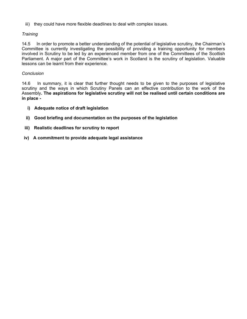iii) they could have more flexible deadlines to deal with complex issues.

## *Training*

14.5 In order to promote a better understanding of the potential of legislative scrutiny, the Chairman's Committee is currently investigating the possibility of providing a training opportunity for members involved in Scrutiny to be led by an experienced member from one of the Committees of the Scottish Parliament. A major part of the Committee's work in Scotland is the scrutiny of legislation. Valuable lessons can be learnt from their experience.

## *Conclusion*

14.6 In summary, it is clear that further thought needs to be given to the purposes of legislative scrutiny and the ways in which Scrutiny Panels can an effective contribution to the work of the Assembly**. The aspirations for legislative scrutiny will not be realised until certain conditions are in place -**

- **i) Adequate notice of draft legislation**
- **ii) Good briefing and documentation on the purposes of the legislation**
- **iii) Realistic deadlines for scrutiny to report**
- **iv) A commitment to provide adequate legal assistance**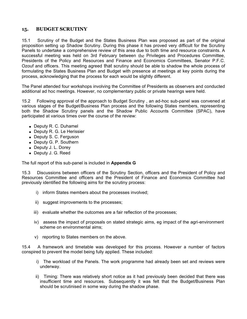# **15. BUDGET SCRUTINY**

15.1 Scrutiny of the Budget and the States Business Plan was proposed as part of the original proposition setting up Shadow Scrutiny. During this phase it has proved very difficult for the Scrutiny Panels to undertake a comprehensive review of this area due to both time and resource constraints. A successful meeting was held on 3rd February between the Privileges and Procedures Committee, Presidents of the Policy and Resources and Finance and Economics Committees, Senator P.F.C. Ozouf and officers. This meeting agreed that scrutiny should be able to shadow the whole process of formulating the States Business Plan and Budget with presence at meetings at key points during the process, acknowledging that the process for each would be slightly different.

The Panel attended four workshops involving the Committee of Presidents as observers and conducted additional ad hoc meetings. However, no complementary public or private hearings were held.

15.2 Following approval of the approach to Budget Scrutiny , an ad-hoc sub-panel was convened at various stages of the Budget/Business Plan process and the following States members, representing both the Shadow Scrutiny panels and the Shadow Public Accounts Committee (SPAC), have participated at various times over the course of the review:

- Deputy R. C. Duhamel
- Deputy R. G. Le Herissier
- Deputy S. C. Ferguson
- Deputy G. P. Southern
- Deputy J. L. Dorey
- Deputy J. G. Reed

The full report of this sub-panel is included in **Appendix G**

15.3 Discussions between officers of the Scrutiny Section, officers and the President of Policy and Resources Committee and officers and the President of Finance and Economics Committee had previously identified the following aims for the scrutiny process:

- i) inform States members about the processes involved;
- ii) suggest improvements to the processes;
- iii) evaluate whether the outcomes are a fair reflection of the processes;
- iv) assess the impact of proposals on stated strategic aims, eg impact of the agri-environment scheme on environmental aims;
- v) reporting to States members on the above.

15.4 A framework and timetable was developed for this process. However a number of factors conspired to prevent the model being fully applied. These included:

- i) The workload of the Panels. The work programme had already been set and reviews were underway.
- ii) Timing: There was relatively short notice as it had previously been decided that there was insufficient time and resources. Subsequently it was felt that the Budget/Business Plan should be scrutinised in some way during the shadow phase.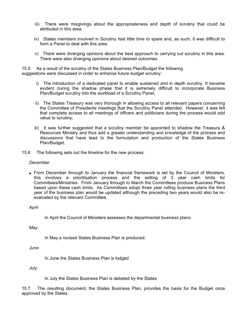- iii) There were misgivings about the appropriateness and depth of scrutiny that could be attributed in this area.
- iv) States members involved in Scrutiny had little time to spare and, as such, it was difficult to form a Panel to deal with this area.
- v) There were diverging opinions about the best approach to carrying out scrutiny in this area. There were also diverging opinions about desired outcomes.

15.5 As a result of the scrutiny of the States Business Plan/Budget the following suggestions were discussed in order to enhance future budget scrutiny:

- i) The introduction of a dedicated panel to enable sustained and in depth scrutiny. It became evident during the shadow phase that it is extremely difficult to incorporate Business Plan/Budget scrutiny into the workload of a Scrutiny Panel;
- ii) The States Treasury was very thorough in allowing access to all relevant papers concerning the Committee of Presidents meetings that the Scrutiny Panel attended. However, it was felt that complete access to all meetings of officers and politicians during the process would add value to scrutiny;
- iii) It was further suggested that a scrutiny member be appointed to shadow the Treasury  $\&$ Resources Ministry and thus add a greater understanding and knowledge of the process and discussions that have lead to the formulation and production of the States Business Plan/Budget.
- 15.6 The following sets out the timeline for the new process:

#### *December*

 From December through to January the financial framework is set by the Council of Ministers, this involves a prioritisation process and the setting of 3 year cash limits for Committees/Ministries. From January through to March the Committees produce Business Plans based upon these cash limits. As Committees adopt three year rolling business plans the third year of the business plan would be updated although the preceding two years would also be reevaluated by the relevant Committee.

*April*

In April the Council of Ministers assesses the departmental business plans.

*May*

In May a revised States Business Plan is produced.

*June*

In June the States Business Plan is lodged

*July*

In July the States Business Plan is debated by the States

15.7 The resulting document, the States Business Plan, provides the basis for the Budget once approved by the States.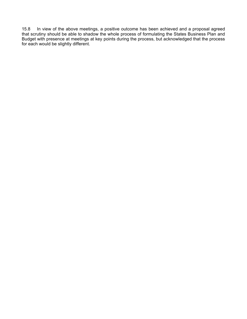15.8 In view of the above meetings, a positive outcome has been achieved and a proposal agreed that scrutiny should be able to shadow the whole process of formulating the States Business Plan and Budget with presence at meetings at key points during the process, but acknowledged that the process for each would be slightly different.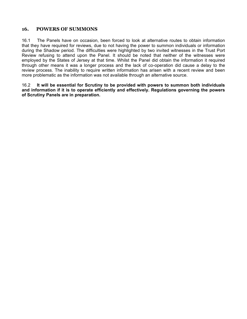## **16. POWERS OF SUMMONS**

16.1 The Panels have on occasion, been forced to look at alternative routes to obtain information that they have required for reviews, due to not having the power to summon individuals or information during the Shadow period. The difficulties were highlighted by two invited witnesses in the Trust Port Review refusing to attend upon the Panel. It should be noted that neither of the witnesses were employed by the States of Jersey at that time. Whilst the Panel did obtain the information it required through other means it was a longer process and the lack of co-operation did cause a delay to the review process. The inability to require written information has arisen with a recent review and been more problematic as the information was not available through an alternative source.

16.2 **It will be essential for Scrutiny to be provided with powers to summon both individuals and information if it is to operate efficiently and effectively. Regulations governing the powers of Scrutiny Panels are in preparation.**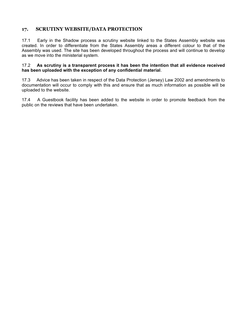# **17. SCRUTINY WEBSITE/DATA PROTECTION**

17.1 Early in the Shadow process a scrutiny website linked to the States Assembly website was created. In order to differentiate from the States Assembly areas a different colour to that of the Assembly was used. The site has been developed throughout the process and will continue to develop as we move into the ministerial system.

#### 17.2 **As scrutiny is a transparent process it has been the intention that all evidence received has been uploaded with the exception of any confidential material**.

17.3 Advice has been taken in respect of the Data Protection (Jersey) Law 2002 and amendments to documentation will occur to comply with this and ensure that as much information as possible will be uploaded to the website.

17.4 A Guestbook facility has been added to the website in order to promote feedback from the public on the reviews that have been undertaken.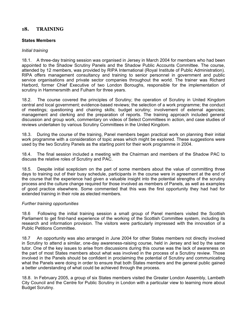# **18. TRAINING**

## **States Members**

## *Initial training*

18.1. A three-day training session was organised in Jersey in March 2004 for members who had been appointed to the Shadow Scrutiny Panels and the Shadow Public Accounts Committee. The course, attended by 12 members, was provided by RIPA International (Royal Institute of Public Administration). RIPA offers management consultancy and training to senior personnel in government and public service organisations and private sector companies throughout the world. The trainer was Richard Harbord, former Chief Executive of two London Boroughs, responsible for the implementation of scrutiny in Hammersmith and Fulham for three years.

18.2. The course covered the principles of Scrutiny; the operation of Scrutiny in United Kingdom central and local government; evidence-based reviews; the selection of a work programme; the conduct of meetings; questioning and chairing skills; budget scrutiny; involvement of external agencies; management and clerking and the preparation of reports. The training approach included general discussion and group work, commentary on videos of Select Committees in action, and case studies of reviews undertaken by various Scrutiny Committees in the United Kingdom.

18.3. During the course of the training, Panel members began practical work on planning their initial work programme with a consideration of topic areas which might be explored. These suggestions were used by the two Scrutiny Panels as the starting point for their work programme in 2004.

18.4. The final session included a meeting with the Chairman and members of the Shadow PAC to discuss the relative roles of Scrutiny and PAC.

18.5. Despite initial scepticism on the part of some members about the value of committing three days to training out of their busy schedule, participants in the course were in agreement at the end of the course that the experience had given a valuable insight into the potential strengths of the scrutiny process and the culture change required for those involved as members of Panels, as well as examples of good practice elsewhere. Some commented that this was the first opportunity they had had for extended training in their role as elected members.

## *Further training opportunities*

18.6 Following the initial training session a small group of Panel members visited the Scottish Parliament to get first-hand experience of the working of the Scottish Committee system, including its research and information provision. The visitors were particularly impressed with the innovation of a Public Petitions Committee.

18.7 An opportunity was also arranged in June 2004 for other States members not directly involved in Scrutiny to attend a similar, one-day awareness-raising course, held in Jersey and led by the same tutor. One of the key issues to arise from discussions during this course was the lack of awareness on the part of most States members about what was involved in the process of a Scrutiny review. Those involved in the Panels should be confident in proclaiming the potential of Scrutiny and communicating what the Panels were doing in order to ensure that both States members and the general public gained a better understanding of what could be achieved through the process.

18.8. In February 2005, a group of six States members visited the Greater London Assembly, Lambeth City Council and the Centre for Public Scrutiny in London with a particular view to learning more about Budget Scrutiny.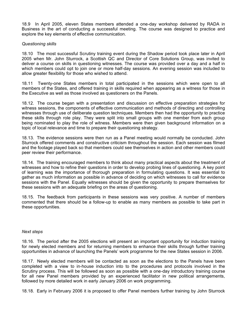18.9 In April 2005, eleven States members attended a one-day workshop delivered by RADA in Business in the art of conducting a successful meeting. The course was designed to practice and explore the key elements of effective communication.

## *Questioning skills*

18.10 The most successful Scrutiny training event during the Shadow period took place later in April 2005 when Mr. John Sturrock, a Scottish QC and Director of Core Solutions Group, was invited to deliver a course on skills in questioning witnesses. The course was provided over a day and a half in which members could opt to join one or more half-day sessions. An evening session was included to allow greater flexibility for those who wished to attend.

18.11 Twenty-one States members in total participated in the sessions which were open to all members of the States, and offered training in skills required when appearing as a witness for those in the Executive as well as those involved as questioners on the Panels.

18.12. The course began with a presentation and discussion on effective preparation strategies for witness sessions, the components of effective communication and methods of directing and controlling witnesses through use of deliberate question techniques. Members then had the opportunity to practice these skills through role play. They were split into small groups with one member from each group being nominated to play the role of witness. Members were then given background information on a topic of local relevance and time to prepare their questioning strategy.

18.13. The evidence sessions were then run as a Panel meeting would normally be conducted. John Sturrock offered comments and constructive criticism throughout the session. Each session was filmed and the footage played back so that members could see themselves in action and other members could peer review their performance.

18.14. The training encouraged members to think about many practical aspects about the treatment of witnesses and how to refine their questions in order to develop probing lines of questioning. A key point of learning was the importance of thorough preparation in formulating questions. It was essential to gather as much information as possible in advance of deciding on which witnesses to call for evidence sessions with the Panel. Equally witnesses should be given the opportunity to prepare themselves for these sessions with an adequate briefing on the areas of questioning.

18.15. The feedback from participants in these sessions was very positive. A number of members commented that there should be a follow-up to enable as many members as possible to take part in these opportunities.

## *Next steps*

18.16. The period after the 2005 elections will present an important opportunity for induction training for newly elected members and for returning members to enhance their skills through further training opportunities in advance of launching the Panels' work programme for the new States session in 2006.

18.17. Newly elected members will be contacted as soon as the elections to the Panels have been completed with a view to in-house induction into to the procedures and protocols involved in the Scrutiny process. This will be followed as soon as possible with a one-day introductory training course for all new Panel members provided by an experienced facilitator in new political arrangements, followed by more detailed work in early January 2006 on work programming.

18.18. Early in February 2006 it is proposed to offer Panel members further training by John Sturrock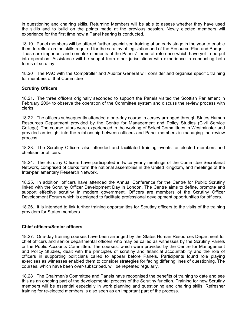in questioning and chairing skills. Returning Members will be able to assess whether they have used the skills and to build on the points made at the previous session. Newly elected members will experience for the first time how a Panel hearing is conducted.

18.19 Panel members will be offered further specialised training at an early stage in the year to enable them to reflect on the skills required for the scrutiny of legislation and of the Resource Plan and Budget. These are important and complex elements of the Panels' terms of reference which have yet to be put into operation. Assistance will be sought from other jurisdictions with experience in conducting both forms of scrutiny.

18.20 The PAC with the Comptroller and Auditor General will consider and organise specific training for members of that Committee

## **Scrutiny Officers**

18.21. The three officers originally seconded to support the Panels visited the Scottish Parliament in February 2004 to observe the operation of the Committee system and discuss the review process with clerks.

18.22. The officers subsequently attended a one-day course in Jersey arranged through States Human Resources Department provided by the Centre for Management and Policy Studies (Civil Service College). The course tutors were experienced in the working of Select Committees in Westminster and provided an insight into the relationship between officers and Panel members in managing the review process.

18.23. The Scrutiny Officers also attended and facilitated training events for elected members and chief/senior officers.

18.24. The Scrutiny Officers have participated in twice yearly meetings of the Committee Secretariat Network, comprised of clerks form the national assemblies in the United Kingdom, and meetings of the Inter-parliamentary Research Network.

18.25. In addition, officers have attended the Annual Conference for the Centre for Public Scrutiny linked with the Scrutiny Officer Development Day in London. The Centre aims to define, promote and support effective scrutiny in modern government. Officers are members of the Scrutiny Officer Development Forum which is designed to facilitate professional development opportunities for officers.

18.26. It is intended to link further training opportunities for Scrutiny officers to the visits of the training providers for States members.

## **Chief officers/Senior officers**

18.27. One-day training courses have been arranged by the States Human Resources Department for chief officers and senior departmental officers who may be called as witnesses by the Scrutiny Panels or the Public Accounts Committee. The courses, which were provided by the Centre for Management and Policy Studies, dealt with the principles of scrutiny and financial accountability and the role of officers in supporting politicians called to appear before Panels. Participants found role playing exercises as witnesses enabled them to consider strategies for facing differing lines of questioning. The courses, which have been over-subscribed, will be repeated regularly.

18.28 The Chairmen's Committee and Panels have recognised the benefits of training to date and see this as an ongoing part of the developmental process of the Scrutiny function. Training for new Scrutiny members will be essential especially in work planning and questioning and chairing skills. Refresher training for re-elected members is also seen as an important part of the process.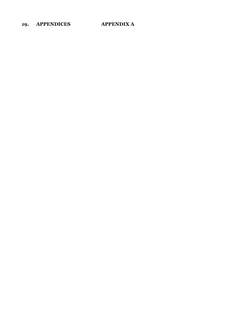# **19. APPENDICES APPENDIX A**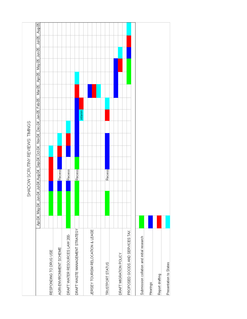|                                           | SHADOW SCRUTINY REVIEWS: TIMINGS                                                                                                                         |
|-------------------------------------------|----------------------------------------------------------------------------------------------------------------------------------------------------------|
|                                           | Aug-05<br>写写<br>Apr-05   May-05   Jun-05  <br>Mar-05<br>Apr-04   May-04   Jun-04   Jul-04   Aug-04   Sep-04   Oct-04   Nov-04   Dec-04   Jan-05   Feb-05 |
| RESPONDING TO DRUG USE                    |                                                                                                                                                          |
| AGRI-ENVIRONMENT SCHEME                   | Recess                                                                                                                                                   |
| DRAFT WATER RESOURCES LAW 200-            | Recess                                                                                                                                                   |
| DRAFT WASTE MANAGEMENT STRATEGY           | Recess                                                                                                                                                   |
|                                           | interim                                                                                                                                                  |
| JERSEY TOURISM RELOCATION & LEASE         |                                                                                                                                                          |
|                                           |                                                                                                                                                          |
| TRUSTPORT STATUS                          | Recess                                                                                                                                                   |
|                                           |                                                                                                                                                          |
| DRAFT MIGRATION POLICY                    |                                                                                                                                                          |
| PROPOSED GOODS AND SERVICES TAX           |                                                                                                                                                          |
|                                           |                                                                                                                                                          |
| Submission collation and initial research |                                                                                                                                                          |
| Hearings                                  |                                                                                                                                                          |
| Report drafting                           |                                                                                                                                                          |
| Presentation to States                    |                                                                                                                                                          |
|                                           |                                                                                                                                                          |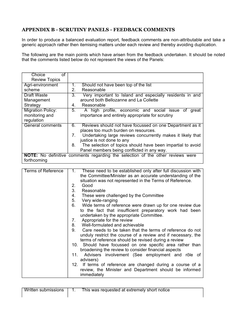# **APPENDIX B - SCRUTINY PANELS - FEEDBACK COMMENTS**

In order to produce a balanced evaluation report, feedback comments are non-attributable and take a generic approach rather then itemising matters under each review and thereby avoiding duplication.

The following are the main points which have arisen from the feedback undertaken. It should be noted that the comments listed below do not represent the views of the Panels:

| Choice<br>οf             |                                  |                                                                                       |
|--------------------------|----------------------------------|---------------------------------------------------------------------------------------|
| <b>Review Topics</b>     |                                  |                                                                                       |
| Agri-environment         | $1_{-}$                          | Should not have been top of the list                                                  |
| scheme                   | $2_{-}$                          | Reasonable                                                                            |
| <b>Draft Waste</b>       | 3.                               | Very important to Island and especially residents in and                              |
| Management               |                                  | around both Bellozanne and La Collette                                                |
| Strategy                 | 4.                               | Reasonable                                                                            |
| <b>Migration Policy:</b> | 5.                               | A high profile, economic and social issue of<br>great                                 |
| monitoring and           |                                  | importance and entirely appropriate for scrutiny                                      |
| regulation               |                                  |                                                                                       |
| <b>General comments</b>  | 6.                               | Reviews should not have focussed on one Department as it                              |
|                          |                                  | places too much burden on resources.                                                  |
|                          | $7_{\scriptscriptstyle{\ddots}}$ | Undertaking large reviews concurrently makes it likely that                           |
|                          |                                  | justice is not done to any                                                            |
|                          | 8.                               | The selection of topics should have been impartial to avoid                           |
|                          |                                  | Panel members being conflicted in any way.                                            |
|                          |                                  | <b>NOTE:</b> No definitive comments regarding the selection of the other reviews were |
| forthcoming              |                                  |                                                                                       |

| <b>Terms of Reference</b> | These need to be established only after full discussion with<br>1. |
|---------------------------|--------------------------------------------------------------------|
|                           | the Committee/Minister as an accurate understanding of the         |
|                           | situation was not represented in the Terms of Reference.           |
|                           | 2.<br>Good                                                         |
|                           | 3.<br>Reasonable                                                   |
|                           | 4.<br>These were challenged by the Committee                       |
|                           | 5.<br>Very wide-ranging                                            |
|                           |                                                                    |
|                           | 6. Wide terms of reference were drawn up for one review due        |
|                           | to the fact that insufficient preparatory work had been            |
|                           | undertaken by the appropriate Committee.                           |
|                           | Appropriate for the review<br>7.                                   |
|                           | Well-formulated and achievable<br>8.                               |
|                           | 9.<br>Care needs to be taken that the terms of reference do not    |
|                           | unduly restrict the course of a review and if necessary, the       |
|                           | terms of reference should be revised during a review               |
|                           |                                                                    |
|                           | 10. Should have focussed on one specific area rather than          |
|                           | broadening the review to consider financial aspects                |
|                           | Advisers involvement (See employment and rôle of<br>11.            |
|                           | advisers)                                                          |
|                           | 12. If terms of reference are changed during a course of a         |
|                           | review, the Minister and Department should be informed             |
|                           | immediately                                                        |
|                           |                                                                    |

| Written submissions | This was requested at extremely short notice |
|---------------------|----------------------------------------------|
|                     |                                              |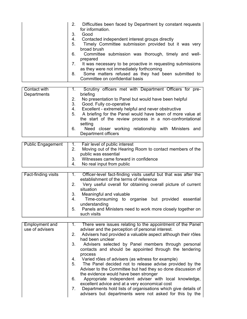| 2 <sub>1</sub> | Difficulties been faced by Department by constant requests<br>for information.                         |
|----------------|--------------------------------------------------------------------------------------------------------|
| 3.             | Good                                                                                                   |
| 4.             | Contacted independent interest groups directly                                                         |
| 5.             | Timely Committee submission provided but it was very<br>broad brush                                    |
| 6.             | Committee submission was thorough, timely and well-<br>prepared                                        |
| 7.             | It was necessary to be proactive in requesting submissions<br>as they were not immediately forthcoming |
| 8.             | Some matters refused as they had been submitted to<br>Committee on confidential basis                  |

| Contact with | $\mathbf{1}$ . | Scrutiny officers met with Department Officers for pre-   |
|--------------|----------------|-----------------------------------------------------------|
| Departments  |                | briefing                                                  |
|              | 2.             | No presentation to Panel but would have been helpful      |
|              | 3.             | Good. Fully co-operative                                  |
|              | 4.             | Excellent - extremely helpful and never obstructive       |
|              | 5.             | A briefing for the Panel would have been of more value at |
|              |                | the start of the review process in a non-confrontational  |
|              |                | setting                                                   |
|              | 6.             | Need closer working relationship with Ministers and       |
|              |                | Department officers                                       |

|                | Public Engagement   1. Fair level of public interest                             |
|----------------|----------------------------------------------------------------------------------|
| 2 <sub>1</sub> | Moving out of the Hearing Room to contact members of the<br>public was essential |
| 4.             | Witnesses came forward in confidence<br>No real input from public                |

| <b>Fact-finding visits</b> |    | Officer-level fact-finding visits useful but that was after the<br>establishment of the terms of reference |
|----------------------------|----|------------------------------------------------------------------------------------------------------------|
|                            | 2. | Very useful overall for obtaining overall picture of current<br>situation                                  |
|                            | 3. | Meaningful and valuable                                                                                    |
|                            | 4. | Time-consuming to organise but provided essential<br>understanding                                         |
|                            | 5. | Panels and Ministers need to work more closely together on<br>such visits                                  |

| Employment and  |    | There were issues relating to the appointment of the Panel      |
|-----------------|----|-----------------------------------------------------------------|
| use of advisers |    | adviser and the perception of personal interest.                |
|                 |    |                                                                 |
|                 |    | 2. Advisers had provided a valuable aspect although their rôles |
|                 |    | had been unclear                                                |
|                 | 3. | Advisers selected by Panel members through personal             |
|                 |    | contacts and should be appointed through the tendering          |
|                 |    |                                                                 |
|                 |    | process                                                         |
|                 |    | 4. Varied rôles of advisers (as witness for example)            |
|                 | 5. | The Panel decided not to release advise provided by the         |
|                 |    |                                                                 |
|                 |    | Adviser to the Committee but had they so done discussion of     |
|                 |    | the evidence would have been stronger                           |
|                 | 6. | Appropriate independent adviser with local knowledge,           |
|                 |    |                                                                 |
|                 |    | excellent advice and at a very economical cost                  |
|                 | 7. | Departments hold lists of organisations which give details of   |
|                 |    | advisers but departments were not asked for this by the         |
|                 |    |                                                                 |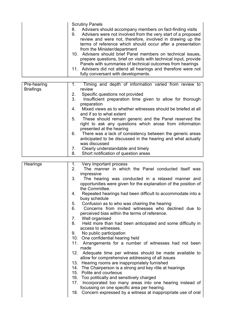|                                 | <b>Scrutiny Panels</b><br>Advisers should accompany members on fact-finding visits<br>8.<br>Advisers were not involved from the very start of a proposed<br>9.<br>review and were not, therefore, involved in drawing up the<br>terms of reference which should occur after a presentation<br>from the Minister/department<br>10. Advisers should brief Panel members on technical issues,<br>prepare questions, brief on visits with technical input, provide<br>Panels with summaries of technical outcomes from hearings<br>11. Advisers did not attend all hearings and therefore were not<br>fully conversant with developments.                                                                                                                                                                                                                                                                                                                                                                                                                                                                                                                                                                                                                                             |
|---------------------------------|-----------------------------------------------------------------------------------------------------------------------------------------------------------------------------------------------------------------------------------------------------------------------------------------------------------------------------------------------------------------------------------------------------------------------------------------------------------------------------------------------------------------------------------------------------------------------------------------------------------------------------------------------------------------------------------------------------------------------------------------------------------------------------------------------------------------------------------------------------------------------------------------------------------------------------------------------------------------------------------------------------------------------------------------------------------------------------------------------------------------------------------------------------------------------------------------------------------------------------------------------------------------------------------|
| Pre-hearing<br><b>Briefings</b> | Timing and depth of information varied from review to<br>1.<br>review<br>Specific questions not provided<br>2.<br>3.<br>Insufficient preparation time given to allow for thorough<br>preparation<br>Mixed views as to whether witnesses should be briefed at all<br>4.<br>and if so to what extent<br>These should remain generic and the Panel reserved the<br>5.<br>right to ask any questions which arose from information<br>presented at the hearing<br>There was a lack of consistency between the generic areas<br>6.<br>anticipated to be discussed in the hearing and what actually<br>was discussed<br>Clearly understandable and timely<br>7.<br>Short notification of question areas<br>8.                                                                                                                                                                                                                                                                                                                                                                                                                                                                                                                                                                            |
| Hearings                        | Very important process<br>1.<br>2.<br>The manner in which the Panel conducted itself was<br>impressive<br>3.<br>The hearing was conducted in a relaxed manner and<br>opportunities were given for the explanation of the position of<br>the Committee.<br>Repeated hearings had been difficult to accommodate into a<br>4.<br>busy schedule<br>5.<br>Confusion as to who was chairing the hearing<br>Concerns from invited witnesses who declined due to<br>6.<br>perceived bias within the terms of reference.<br>7.<br>Well organised<br>8.<br>Held more than had been anticipated and some difficulty in<br>access to witnesses.<br>No public participation<br>9.<br>10. One confidential hearing held<br>11. Arrangements for a number of witnesses had not been<br>made<br>12.<br>Adequate time per witness should be made available to<br>allow for comprehensive addressing of all issues<br>13. Hearing rooms are inappropriately furnished<br>14. The Chairperson is a strong and key rôle at hearings<br>15. Polite and courteous<br>16. Too politically and sensitively charged<br>17.<br>Incorporated too many areas into one hearing instead of<br>focussing on one specific area per hearing.<br>Concern expressed by a witness at inappropriate use of oral<br>18. |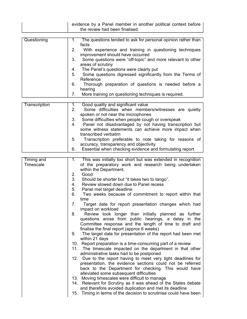|                                | evidence by a Panel member in another political context before<br>the review had been finalised.                                                      |
|--------------------------------|-------------------------------------------------------------------------------------------------------------------------------------------------------|
| Questioning                    | The questions tended to ask for personal opinion rather than<br>1.                                                                                    |
|                                | facts<br>With experience and training in questioning techniques<br>2.                                                                                 |
|                                | improvement should have occurred                                                                                                                      |
|                                | Some questions were "off-topic" and more relevant to other<br>3.<br>areas of scrutiny                                                                 |
|                                | The Panel's questions were clearly put<br>4.<br>Some questions digressed significantly from the Terms of<br>5.                                        |
|                                | Reference                                                                                                                                             |
|                                | Thorough preparation of questions is needed before a<br>6.<br>hearing                                                                                 |
|                                | More training on questioning techniques is required.<br>7.                                                                                            |
| <b>Transcription</b>           | Good quality and significant value<br>1.                                                                                                              |
|                                | Some difficulties when members/witnesses are quietly<br>2.<br>spoken or not near the microphones                                                      |
|                                | Some difficulties when people cough or overspeak<br>3.                                                                                                |
|                                | Panel not disadvantaged by not having transcription but<br>4.<br>some witness statements can achieve more impact when                                 |
|                                | transcribed verbatim                                                                                                                                  |
|                                | Transcription preferable to note taking for reasons of<br>5.<br>accuracy, transparency and objectivity                                                |
|                                | Essential when checking evidence and formulating report<br>6.                                                                                         |
|                                |                                                                                                                                                       |
| <b>Timing and</b><br>Timescale | This was initially too short but was extended in recognition<br>1.<br>of the preparatory work and research being undertaken<br>within the Department. |
|                                | 2.<br>Good<br>3.<br>Should be shorter but "it takes two to tango".                                                                                    |
|                                | Review slowed down due to Panel recess<br>4.                                                                                                          |
|                                | 5.<br>Panel met target deadline                                                                                                                       |
|                                | 6.<br>Two weeks because of commitment to report within that<br>time                                                                                   |
|                                | 7.<br>Target date for report presentation changes which had<br>impact on workload                                                                     |
|                                | Review took longer than initially planned as further<br>8.                                                                                            |
|                                | questions arose from public hearings, a delay in the<br>Committee response and the length of time to draft and                                        |
|                                | finalise the final report (approx 6 weeks)                                                                                                            |
|                                | The target date for presentation of the report had been met<br>9.<br>within 21 days                                                                   |
|                                | 10. Report preparation is a time-consuming part of a review                                                                                           |
|                                | 11. The timescale impacted on the department in that other<br>administrative tasks had to be postponed                                                |
|                                | 12. Due to the report having to meet very tight deadlines for                                                                                         |
|                                | presentation, the evidence sections could not be referred<br>back to the Department for checking. This would have                                     |
|                                | alleviated some subsequent difficulties                                                                                                               |
|                                | 13. Moving timescales were difficult to manage                                                                                                        |
|                                | 14. Relevant for Scrutiny as it was ahead of the States debate<br>and therefore avoided duplication and met its deadline                              |
|                                | Timing in terms of the decision to scrutinise could have been<br>15.                                                                                  |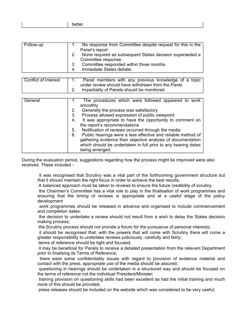|--|--|--|--|

| Follow-up |   | No response from Committee despite request for this in the<br>Panel's report   |
|-----------|---|--------------------------------------------------------------------------------|
|           |   | None required as subsequent States decision superseded a<br>Committee response |
|           |   | Committee responded within three months.                                       |
|           | 4 | Immediate States debate.                                                       |

| <b>Conflict of Interest</b> | 2.                         | Panel members with any previous knowledge of a topic<br>under review should have withdrawn from the Panel.<br>Impartiality of Panels should be monitored.                                                                                                                                                                                                                                                                                                                                                                        |
|-----------------------------|----------------------------|----------------------------------------------------------------------------------------------------------------------------------------------------------------------------------------------------------------------------------------------------------------------------------------------------------------------------------------------------------------------------------------------------------------------------------------------------------------------------------------------------------------------------------|
| General                     | 2.<br>3.<br>4.<br>5.<br>6. | The procedures which were followed appeared to work<br>smoothly<br>Generally the process was satisfactory<br>Process allowed expression of public viewpoint<br>It was appropriate to have the opportunity to comment on<br>the report's recommendations<br>Notification of reviews occurred through the media<br>Public hearings were a less effective and reliable method of<br>gathering evidence than objective analysis of documentation<br>which should be undertaken in full prior to any hearing dates<br>being arranged. |

During the evaluation period, suggestions regarding how the process might be improved were also received. These included -

 It was recognised that Scrutiny was a vital part of the forthcoming government structure but that it should maintain the right focus in order to achieve the best results.

A balanced approach must be taken to reviews to ensure the future credibility of scrutiny.

 the Chairmen's Committee has a vital role to play in the finalisation of work programmes and ensuring that the timing of reviews is appropriate and at a useful stage of the policy development

 work programmes should be released in advance and organised to include commencement and completion dates;

 the decision to undertake a review should not result from a wish to delay the States decision making process;

the Scrutiny process should not provide a forum for the pursuance of personal interests;

 it should be recognised that, with the powers that will come with Scrutiny there will come a greater responsibility to undertake reviews judiciously, carefully and fairly;

terms of reference should be tight and focused;

 it may be beneficial for Panels to receive a detailed presentation from the relevant Department prior to finalising its Terms of Reference;

 there were some confidentiality issues with regard to provision of evidence material and contact with the press, appropriate use of the media should be assured;

 questioning in hearings should be undertaken in a structured way and should be focused on the terms of reference not the individual President/Minister;

 training provision on questioning skills had been excellent as had the initial training and much more of this should be provided;

press releases should be included on the website which was considered to be very useful;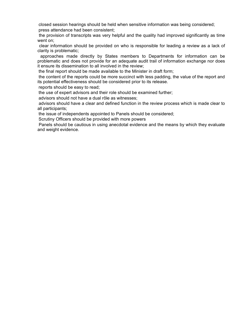closed session hearings should be held when sensitive information was being considered; press attendance had been consistent;

 the provision of transcripts was very helpful and the quality had improved significantly as time went on;

 clear information should be provided on who is responsible for leading a review as a lack of clarity is problematic;

 approaches made directly by States members to Departments for information can be problematic and does not provide for an adequate audit trail of information exchange nor does it ensure its dissemination to all involved in the review;

the final report should be made available to the Minister in draft form;

 the content of the reports could be more succinct with less padding, the value of the report and its potential effectiveness should be considered prior to its release.

reports should be easy to read;

the use of expert advisors and their role should be examined further;

advisors should not have a dual rôle as witnesses;

 advisors should have a clear and defined function in the review process which is made clear to all participants;

the issue of independents appointed to Panels should be considered;

Scrutiny Officers should be provided with more powers

 Panels should be cautious in using anecdotal evidence and the means by which they evaluate and weight evidence.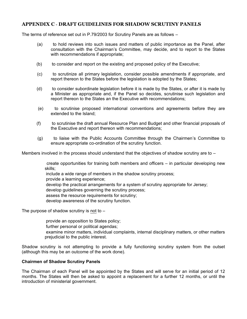# **APPENDIX C** - **DRAFT GUIDELINES FOR SHADOW SCRUTINY PANELS**

The terms of reference set out in P.79/2003 for Scrutiny Panels are as follows –

- (a) to hold reviews into such issues and matters of public importance as the Panel, after consultation with the Chairman's Committee, may decide, and to report to the States with recommendations if appropriate;
- (b) to consider and report on the existing and proposed policy of the Executive;
- (c) to scrutinize all primary legislation, consider possible amendments if appropriate, and report thereon to the States before the legislation is adopted by the States;
- (d) to consider subordinate legislation before it is made by the States, or after it is made by a Minister as appropriate and, if the Panel so decides, scrutinise such legislation and report thereon to the States an the Executive with recommendations;
- (e) to scrutinise proposed international conventions and agreements before they are extended to the Island;
- (f) to scrutinise the draft annual Resource Plan and Budget and other financial proposals of the Executive and report thereon with recommendations;
- (g) to liaise with the Public Accounts Committee through the Chairmen's Committee to ensure appropriate co-ordination of the scrutiny function.

Members involved in the process should understand that the objectives of shadow scrutiny are to  $-$ 

 create opportunities for training both members and officers – in particular developing new skills;

include a wide range of members in the shadow scrutiny process;

provide a learning experience;

develop the practical arrangements for a system of scrutiny appropriate for Jersey;

develop guidelines governing the scrutiny process;

assess the resource requirements for scrutiny;

develop awareness of the scrutiny function.

The purpose of shadow scrutiny is not to  $-$ 

provide an opposition to States policy;

further personal or political agendas;

 examine minor matters, individual complaints, internal disciplinary matters, or other matters prejudicial to the public interest.

Shadow scrutiny is not attempting to provide a fully functioning scrutiny system from the outset (although this may be an outcome of the work done).

## **Chairmen of Shadow Scrutiny Panels**

The Chairman of each Panel will be appointed by the States and will serve for an initial period of 12 months. The States will then be asked to appoint a replacement for a further 12 months, or until the introduction of ministerial government.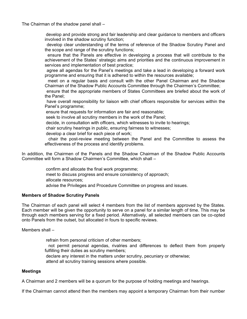The Chairman of the shadow panel shall –

 develop and provide strong and fair leadership and clear guidance to members and officers involved in the shadow scrutiny function;

 develop clear understanding of the terms of reference of the Shadow Scrutiny Panel and the scope and range of the scrutiny functions;

 ensure that the Panels are effective in developing a process that will contribute to the achievement of the States' strategic aims and priorities and the continuous improvement in services and implementation of best practice;

 agree all agendas for the Panel's meetings and take a lead in developing a forward work programme and ensuring that it is adhered to within the resources available;

 meet on a regular basis and consult with the other Panel Chairman and the Shadow Chairman of the Shadow Public Accounts Committee through the Chairmen's Committee;

 ensure that the appropriate members of States Committees are briefed about the work of the Panel;

 have overall responsibility for liaison with chief officers responsible for services within the Panel's programme;

ensure that requests for information are fair and reasonable;

seek to involve all scrutiny members in the work of the Panel;

decide, in consultation with officers, which witnesses to invite to hearings;

chair scrutiny hearings in public, ensuring fairness to witnesses;

develop a clear brief for each piece of work;

 chair the post-review meeting between the Panel and the Committee to assess the effectiveness of the process and identify problems.

In addition, the Chairmen of the Panels and the Shadow Chairman of the Shadow Public Accounts Committee will form a Shadow Chairmen's Committee, which shall –

> confirm and allocate the final work programme; meet to discuss progress and ensure consistency of approach; allocate resources; advise the Privileges and Procedure Committee on progress and issues.

## **Members of Shadow Scrutiny Panels**

The Chairman of each panel will select 4 members from the list of members approved by the States. Each member will be given the opportunity to serve on a panel for a similar length of time. This may be through each members serving for a fixed period. Alternatively, all selected members can be co-opted onto Panels from the outset, but allocated in fours to specific reviews.

Members shall –

 refrain from personal criticism of other members; not permit personal agendas, rivalries and differences to deflect them from properly fulfilling their duties as scrutiny members; declare any interest in the matters under scrutiny, pecuniary or otherwise; attend all scrutiny training sessions where possible.

## **Meetings**

A Chairman and 2 members will be a quorum for the purpose of holding meetings and hearings.

If the Chairman cannot attend then the members may appoint a temporary Chairman from their number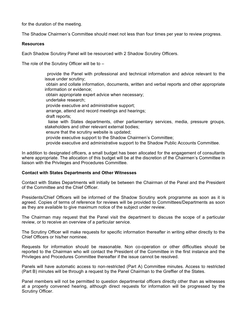for the duration of the meeting.

The Shadow Chairmen's Committee should meet not less than four times per year to review progress.

## **Resources**

Each Shadow Scrutiny Panel will be resourced with 2 Shadow Scrutiny Officers.

The role of the Scrutiny Officer will be to –

 provide the Panel with professional and technical information and advice relevant to the issue under scrutiny; obtain and collate information, documents, written and verbal reports and other appropriate information or evidence; obtain appropriate expert advice when necessary; undertake research; provide executive and administrative support; arrange, attend and record meetings and hearings; draft reports; liaise with States departments, other parliamentary services, media, pressure groups, stakeholders and other relevant external bodies; ensure that the scrutiny website is updated; provide executive support to the Shadow Chairmen's Committee; provide executive and administrative support to the Shadow Public Accounts Committee.

In addition to designated officers, a small budget has been allocated for the engagement of consultants where appropriate. The allocation of this budget will be at the discretion of the Chairmen's Committee in liaison with the Privileges and Procedures Committee.

## **Contact with States Departments and Other Witnesses**

Contact with States Departments will initially be between the Chairman of the Panel and the President of the Committee and the Chief Officer.

Presidents/Chief Officers will be informed of the Shadow Scrutiny work programme as soon as it is agreed. Copies of terms of reference for reviews will be provided to Committees/Departments as soon as they are available to give maximum notice of the subject under review.

The Chairman may request that the Panel visit the department to discuss the scope of a particular review, or to receive an overview of a particular service.

The Scrutiny Officer will make requests for specific information thereafter in writing either directly to the Chief Officers or his/her nominee.

Requests for information should be reasonable. Non co-operation or other difficulties should be reported to the Chairman who will contact the President of the Committee in the first instance and the Privileges and Procedures Committee thereafter if the issue cannot be resolved.

Panels will have automatic access to non-restricted (Part A) Committee minutes. Access to restricted (Part B) minutes will be through a request by the Panel Chairman to the Greffier of the States.

Panel members will not be permitted to question departmental officers directly other than as witnesses at a properly convened hearing, although direct requests for information will be progressed by the Scrutiny Officer.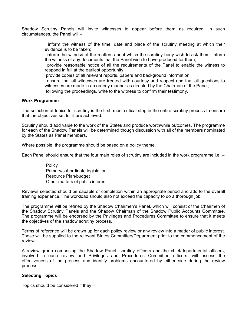Shadow Scrutiny Panels will invite witnesses to appear before them as required. In such circumstances, the Panel will –

> inform the witness of the time, date and place of the scrutiny meeting at which their evidence is to be taken;

> inform the witness of the matters about which the scrutiny body wish to ask them. Inform the witness of any documents that the Panel wish to have produced for them;

> provide reasonable notice of all the requirements of the Panel to enable the witness to respond in full at the earliest opportunity;

provide copies of all relevant reports, papers and background information;

 ensure that all witnesses are treated with courtesy and respect and that all questions to witnesses are made in an orderly manner as directed by the Chairman of the Panel; following the proceedings, write to the witness to confirm their testimony.

## **Work Programme**

The selection of topics for scrutiny is the first, most critical step in the entire scrutiny process to ensure that the objectives set for it are achieved.

Scrutiny should add value to the work of the States and produce worthwhile outcomes. The programme for each of the Shadow Panels will be determined though discussion with all of the members nominated by the States as Panel members.

Where possible, the programme should be based on a policy theme.

Each Panel should ensure that the four main roles of scrutiny are included in the work programme i.e. –

 Policy Primary/subordinate legislation Resource Plan/budget Other matters of public interest

Reviews selected should be capable of completion within an appropriate period and add to the overall training experience. The workload should also not exceed the capacity to do a thorough job.

The programme will be refined by the Shadow Chairmen's Panel, which will consist of the Chairmen of the Shadow Scrutiny Panels and the Shadow Chairman of the Shadow Public Accounts Committee. The programme will be endorsed by the Privileges and Procedures Committee to ensure that it meets the objectives of the shadow scrutiny process.

Terms of reference will be drawn up for each policy review or any review into a matter of public interest. These will be supplied to the relevant States Committee/Department prior to the commencement of the review.

A review group comprising the Shadow Panel, scrutiny officers and the chief/departmental officers, involved in each review and Privileges and Procedures Committee officers, will assess the effectiveness of the process and identify problems encountered by either side during the review process.

## **Selecting Topics**

Topics should be considered if they –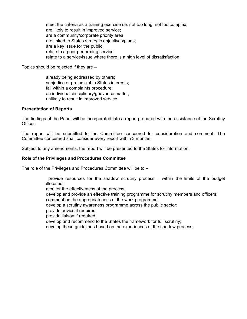meet the criteria as a training exercise i.e. not too long, not too complex; are likely to result in improved service; are a community/corporate priority area; are linked to States strategic objectives/plans; are a key issue for the public; relate to a poor performing service; relate to a service/issue where there is a high level of dissatisfaction.

Topics should be rejected if they are –

 already being addressed by others; subjudice or prejudicial to States interests; fall within a complaints procedure; an individual disciplinary/grievance matter; unlikely to result in improved service.

## **Presentation of Reports**

The findings of the Panel will be incorporated into a report prepared with the assistance of the Scrutiny Officer.

The report will be submitted to the Committee concerned for consideration and comment. The Committee concerned shall consider every report within 3 months.

Subject to any amendments, the report will be presented to the States for information.

## **Role of the Privileges and Procedures Committee**

The role of the Privileges and Procedures Committee will be to –

 provide resources for the shadow scrutiny process – within the limits of the budget allocated;

monitor the effectiveness of the process;

develop and provide an effective training programme for scrutiny members and officers;

comment on the appropriateness of the work programme;

develop a scrutiny awareness programme across the public sector;

provide advice if required;

provide liaison if required;

develop and recommend to the States the framework for full scrutiny;

develop these guidelines based on the experiences of the shadow process.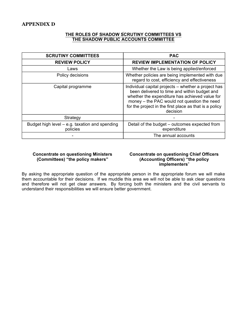## **THE ROLES OF SHADOW SCRUTINY COMMITTEES VS THE SHADOW PUBLIC ACCOUNTS COMMITTEE**

| <b>SCRUTINY COMMITTEES</b>                                 | <b>PAC</b>                                                                                                                                                                                                                                                                 |
|------------------------------------------------------------|----------------------------------------------------------------------------------------------------------------------------------------------------------------------------------------------------------------------------------------------------------------------------|
| <b>REVIEW POLICY</b>                                       | <b>REVIEW IMPLEMENTATION OF POLICY</b>                                                                                                                                                                                                                                     |
| Laws                                                       | Whether the Law is being applied/enforced                                                                                                                                                                                                                                  |
| Policy decisions                                           | Whether policies are being implemented with due<br>regard to cost, efficiency and effectiveness                                                                                                                                                                            |
| Capital programme                                          | Individual capital projects – whether a project has<br>been delivered to time and within budget and<br>whether the expenditure has achieved value for<br>money – the PAC would not question the need<br>for the project in the first place as that is a policy<br>decision |
| Strategy                                                   |                                                                                                                                                                                                                                                                            |
| Budget high level – e.g. taxation and spending<br>policies | Detail of the budget - outcomes expected from<br>expenditure                                                                                                                                                                                                               |
|                                                            | The annual accounts                                                                                                                                                                                                                                                        |

## **Concentrate on questioning Ministers (Committees) "the policy makers"**

## **Concentrate on questioning Chief Officers (Accounting Officers) "the policy implementers**"

By asking the appropriate question of the appropriate person in the appropriate forum we will make them accountable for their decisions. If we muddle this area we will not be able to ask clear questions and therefore will not get clear answers. By forcing both the ministers and the civil servants to understand their responsibilities we will ensure better government.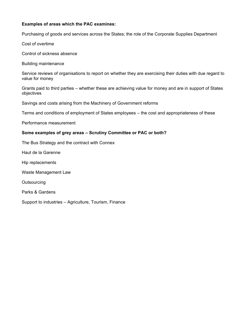## **Examples of areas which the PAC examines:**

Purchasing of goods and services across the States; the role of the Corporate Supplies Department

Cost of overtime

Control of sickness absence

Building maintenance

Service reviews of organisations to report on whether they are exercising their duties with due regard to value for money

Grants paid to third parties – whether these are achieving value for money and are in support of States objectives

Savings and costs arising from the Machinery of Government reforms

Terms and conditions of employment of States employees – the cost and appropriateness of these

Performance measurement

## **Some examples of grey areas – Scrutiny Committee or PAC or both?**

The Bus Strategy and the contract with Connex

Haut de la Garenne

Hip replacements

Waste Management Law

**Outsourcing** 

Parks & Gardens

Support to industries – Agriculture, Tourism, Finance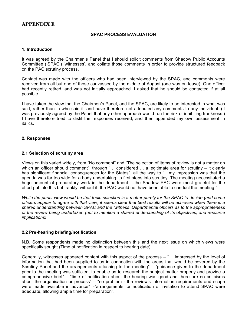# **APPENDIX E**

# **SPAC PROCESS EVALUATION**

#### **1. Introduction**

It was agreed by the Chairmen's Panel that I should solicit comments from Shadow Public Accounts Committee ('SPAC') 'witnesses', and collate those comments in order to provide structured feedback on the PAC scrutiny process.

Contact was made with the officers who had been interviewed by the SPAC, and comments were received from all but one of those canvassed by the middle of August (one was on leave). One officer had recently retired, and was not initially approached. I asked that he should be contacted if at all possible.

I have taken the view that the Chairmen's Panel, and the SPAC, are likely to be interested in what was said, rather than in who said it, and have therefore not attributed any comments to any individual. (It was previously agreed by the Panel that any other approach would run the risk of inhibiting frankness.) I have therefore tried to distil the responses received, and then appended my own assessment in italics.

## **2. Responses**

## **2.1 Selection of scrutiny area**

Views on this varied widely, from "No comment" and "The selection of items of review is not a matter on which an officer should comment", through "... considered ... a legitimate area for scrutiny - it clearly has significant financial consequences for the States", all the way to "...my impression was that the agenda was far too wide for a body undertaking its first steps into scrutiny. The meeting necessitated a huge amount of preparatory work in the department …the Shadow PAC were most grateful for the effort put into this but frankly, without it, the PAC would not have been able to conduct the meeting."

*While the purist view would be that topic selection is a matter purely for the SPAC to decide (and some officers appear to agree with that view) it seems clear that best results will be achieved when there is a shared understanding between SPAC and the 'witness' Departmental officers as to the appropriateness of the review being undertaken (not to mention a shared understanding of its objectives, and resource implications).*

## **2.2 Pre-hearing briefing/notification**

N.B. Some respondents made no distinction between this and the next issue on which views were specifically sought (Time of notification in respect to hearing date).

Generally, witnesses appeared content with this aspect of the process – "… impressed by the level of information that had been supplied to us in connection with the areas that would be covered by the Scrutiny Panel and the arrangements attaching to the meeting" – "guidance given to the department prior to the meeting was sufficient to enable us to research the subject matter properly and provide a comprehensive brief" – "time of notification about the hearing was good and there are no criticisms about the organisation or process" – "no problem - the review's information requirements and scope were made available in advance" - "arrangements for notification of invitation to attend SPAC were adequate, allowing ample time for preparation".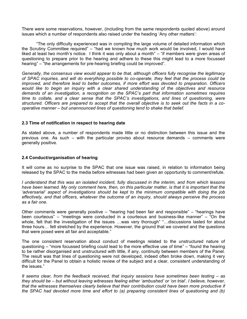There were some reservations, however, (including from the same respondents quoted above) around issues which a number of respondents also raised under the heading 'Any other matters':

"The only difficulty experienced was in compiling the large volume of detailed information which the Scrutiny Committee required" – "had we known how much work would be involved, I would have liked at least two month's notice. I think it was only about a month" – "if members were given areas of questioning to prepare prior to the hearing and adhere to these this might lead to a more focussed hearing" – "the arrangements for pre-hearing briefing could be improved".

*Generally, the consensus view would appear to be that, although officers fully recognise the legitimacy of SPAC inquiries, and will do everything possible to co-operate, they feel that the process could be improved, and therefore lead to better outcomes, if more effort was devoted to preparation. Officers would like to begin an inquiry with a clear shared understanding of the objectives and resource demands of an investigation, a recognition on the SPAC's part that information sometimes requires time to collate, and a clear sense that the SPAC's investigations, and lines of questioning, were structured. Officers are prepared to accept that the overall objective is to seek out the facts in a cooperative manner – but unannounced lines of questioning tend to shake that belief.*

## **2.3 Time of notification in respect to hearing date**

As stated above, a number of respondents made little or no distinction between this issue and the previous one. As such – with the particular proviso about resource demands – comments were generally positive.

#### **2.4 Conduct/organisation of hearing**

It will come as no surprise to the SPAC that one issue was raised, in relation to information being released by the SPAC to the media before witnesses had been given an opportunity to comment/refute.

*I understand that this was an isolated incident, fully discussed in the interim, and from which lessons have been learned. My only comment here, then, on this particular matter, is that it is important that the 'adversarial' aspect of investigations should be kept to the minimum compatible with doing the job effectively, and that officers, whatever the outcome of an inquiry, should always perceive the process as a fair one.*

Other comments were generally positive – "hearing had been fair and responsible" – "hearings have been courteous" – "meetings were conducted in a courteous and business-like manner" – "On the whole, felt that the investigation of the issues …was very thorough" "…discussions lasted for about three hours… felt stretched by the experience. However, the ground that we covered and the questions that were posed were all fair and acceptable."

The one consistent reservation about conduct of meetings related to the unstructured nature of questioning – "more focussed briefing could lead to the more effective use of time" – "found the hearing to be rather disorganised and unstructured with little, if any, continuity between members of the Panel. The result was that lines of questioning were not developed, indeed often broke down, making it very difficult for the Panel to obtain a holistic review of the subject and a clear, consistent understanding of the issues."

*It seems clear, from the feedback received, that inquiry sessions have sometimes been testing – as they should be – but without leaving witnesses feeling either 'ambushed' or 'on trial'. I believe, however, that the witnesses themselves clearly believe that their contribution could have been more productive if the SPAC had devoted more time and effort to (a) preparing consistent lines of questioning and (b)*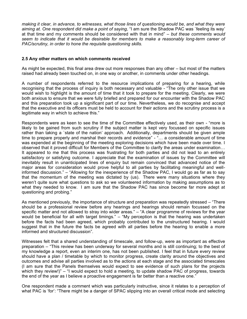*making it clear, in advance, to witnesses, what those lines of questioning would be, and what they were aiming at. One respondent did make a point of saying,* "I am sure the Shadow PAC was `feeling its way' at that time and my comments should be considered with that in mind" *– but these comments would seem to indicate that it would be desirable for members to make a reasonably long-term career of PAC/scrutiny, in order to hone the requisite questioning skills.*

## **2.5 Any other matters on which comments received**

As might be expected, this final area drew out more responses than any other – but most of the matters raised had already been touched on, in one way or another, in comments under other headings.

A number of respondents referred to the resource implications of preparing for a hearing, while recognising that the process of inquiry is both necessary and valuable - "The only other issue that we would wish to highlight is the amount of time that it took to prepare for the meeting. Clearly, we were both anxious to ensure that we were fully briefed and prepared for our encounter with the Shadow PAC and this preparation took up a significant part of our time. Nevertheless, we do recognise and accept that the executive and its officers must be held to account for their actions and the scrutiny process is a legitimate way in which to achieve this."

Respondents were as keen to see the time of the Committee effectively used, as their own - "more is likely to be gained from such scrutiny if the subject matter is kept very focussed on specific issues rather than taking a `state of the nation' approach. Additionally, departments should be given ample time to prepare properly and marshal their records and evidence" - "… a considerable amount of time was expended at the beginning of the meeting exploring decisions which have been made over time. I observed that it proved difficult for Members of the Committee to clarify the areas under examination… It appeared to me that this process was frustrating for both parties and did not lead to an entirely satisfactory or satisfying outcome. I appreciate that the examination of issues by the Committee will inevitably result in unanticipated lines of enquiry but remain convinced that advanced notice of the major areas for consideration would prove helpful to all parties by facilitating meaningful and wellinformed discussion." – "Allowing for the inexperience of the Shadow PAC, I would go as far as to say that the momentum of the meeting was dictated by (us). There were many situations where they weren't quite sure what questions to ask so we volunteered information by making assumptions as to what they needed to know. I am sure that the Shadow PAC has since become far more adept at questioning and probing."

As mentioned previously, the importance of structure and preparation was repeatedly stressed – "There should be a professional review before any hearings and hearings should remain focussed on the specific matter and not allowed to stray into wider areas." – "A clear programme of reviews for the year would be beneficial for all with target timings." – "My perception is that the hearing was undertaken before the facts had been agreed, which probably contributed to the unstructured hearing. I would suggest that in the future the facts be agreed with all parties before the hearing to enable a more informed and structured discussion".

Witnesses felt that a shared understanding of timescale, and follow-up, were as important as effective preparation – "This review has been underway for several months and is still continuing; to the best of my knowledge a report, even an interim one, has not been published. I feel that in future every review should have a plan / timetable by which to monitor progress, create clarity around the objectives and outcomes and advise all parties involved as to the actions at each stage and the associated timescales (I am sure that the Panels themselves would expect to see evidence of such plans for the projects which they review!)" – "I would expect to hold a meeting, to update shadow PAC of progress, towards the end of the year as I believe a proactive engagement is far better than a reactive one."

One respondent made a comment which was particularly instructive, since it relates to a perception of what PAC is 'for': "There might be a danger of SPAC slipping into an overall critical mode and selecting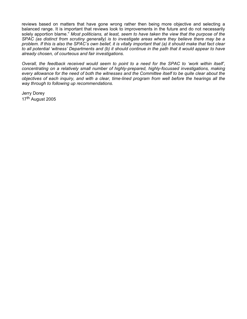reviews based on matters that have gone wrong rather then being more objective and selecting a balanced range. It is important that reviews look to improvements in the future and do not necessarily solely apportion blame." *Most politicians, at least, seem to have taken the view that the purpose of the SPAC (as distinct from scrutiny generally) is to investigate areas where they believe there may be a problem. If this is also the SPAC's own belief, it is vitally important that (a) it should make that fact clear to all potential 'witness' Departments and (b) it should continue in the path that it would appear to have already chosen, of courteous and fair investigations.*

*Overall, the feedback received would seem to point to a need for the SPAC to 'work within itself', concentrating on a relatively small number of highly-prepared, highly-focussed investigations, making every allowance for the need of both the witnesses and the Committee itself to be quite clear about the objectives of each inquiry, and with a clear, time-lined program from well before the hearings all the way through to following up recommendations.*

Jerry Dorey 17th August 2005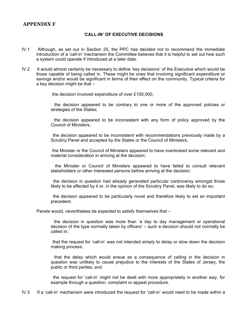# **APPENDIX F**

## **'CALL-IN' OF EXECUTIVE DECISIONS**

- IV.1 Although, as set out in Section 25, the PPC has decided not to recommend the immediate introduction of a 'call-in' mechanism the Committee believes that it is helpful to set out how such a system could operate if introduced at a later date.
- IV.2 It would almost certainly be necessary to define 'key decisions' of the Executive which would be those capable of being called in. These might be ones that involving significant expenditure or savings and/or would be significant in terms of their effect on the community. Typical criteria for a key decision might be that –

the decision involved expenditure of over £100,000;

 the decision appeared to be contrary to one or more of the approved policies or strategies of the States;

 the decision appeared to be inconsistent with any form of policy approved by the Council of Ministers;

 the decision appeared to be inconsistent with recommendations previously made by a Scrutiny Panel and accepted by the States or the Council of Ministers;

 the Minister or the Council of Ministers appeared to have overlooked some relevant and material consideration in arriving at the decision;

 the Minister or Council of Ministers appeared to have failed to consult relevant stakeholders or other interested persons before arriving at the decision;

 the decision in question had already generated particular controversy amongst those likely to be affected by it or, in the opinion of the Scrutiny Panel, was likely to do so;

 the decision appeared to be particularly novel and therefore likely to set an important precedent.

Panels would, nevertheless be expected to satisfy themselves that –

 the decision in question was more than 'a day to day management or operational decision of the type normally taken by officers' – such a decision should not normally be called in;

 that the request for 'call-in' was not intended simply to delay or slow down the decision making process;

 that the delay which would ensue as a consequence of calling in the decision in question was unlikely to cause prejudice to the interests of the States of Jersey, the public or third parties; and

 the request for 'call-in' might not be dealt with more appropriately in another way, for example through a question, complaint or appeal procedure.

IV.3 If a 'call-in' mechanism were introduced the request for 'call-in' would need to be made within a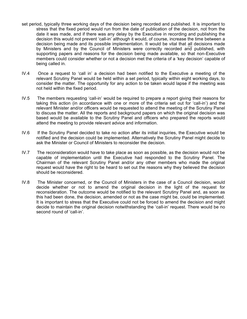- set period, typically three working days of the decision being recorded and published. It is important to stress that the fixed period would run from the date of publication of the decision, not from the date it was made, and if there was any delay by the Executive in recording and publishing the decision this would not prevent 'call-in' although it would, of course, increase the time between a decision being made and its possible implementation. It would be vital that all decisions made by Ministers and by the Council of Ministers were correctly recorded and published, with supporting papers and reasons for the decision being made available, so that non-Executive members could consider whether or not a decision met the criteria of a 'key decision' capable of being called in.
- IV.4 Once a request to 'call in' a decision had been notified to the Executive a meeting of the relevant Scrutiny Panel would be held within a set period, typically within eight working days, to consider the matter. The opportunity for any action to be taken would lapse if the meeting was not held within the fixed period.
- IV.5 The members requesting 'call-in' would be required to prepare a report giving their reasons for taking this action (in accordance with one or more of the criteria set out for 'call-in') and the relevant Minister and/or officers would be requested to attend the meeting of the Scrutiny Panel to discuss the matter. All the reports and background papers on which the original decision was based would be available to the Scrutiny Panel and officers who prepared the reports would attend the meeting to provide relevant advice and information.
- IV.6 If the Scrutiny Panel decided to take no action after its initial inquiries, the Executive would be notified and the decision could be implemented. Alternatively the Scrutiny Panel might decide to ask the Minister or Council of Ministers to reconsider the decision.
- IV.7 The reconsideration would have to take place as soon as possible, as the decision would not be capable of implementation until the Executive had responded to the Scrutiny Panel. The Chairman of the relevant Scrutiny Panel and/or any other members who made the original request would have the right to be heard to set out the reasons why they believed the decision should be reconsidered.
- IV.8 The Minister concerned, or the Council of Ministers in the case of a Council decision, would decide whether or not to amend the original decision in the light of the request for reconsideration. The outcome would be notified to the relevant Scrutiny Panel and, as soon as this had been done, the decision, amended or not as the case might be, could be implemented. It is important to stress that the Executive could not be forced to amend the decision and might decide to maintain the original decision notwithstanding the 'call-in' request. There would be no second round of 'call-in'.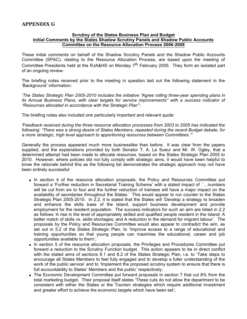# **APPENDIX G**

#### **Scrutiny of the States Business Plan and Budget Initial Comments by the States Shadow Scrutiny Panels and Shadow Public Accounts Committee on the Resource Allocation Process 2006-2008**

These initial comments on behalf of the Shadow Scrutiny Panels and the Shadow Public Accounts Committee (SPAC), relating to the Resource Allocation Process, are based upon the meeting of Committee Presidents held at the RJA&HS on Monday 7<sup>th</sup> February 2005. They form an isolated part of an ongoing review.

The briefing notes received prior to the meeting in question laid out the following statement in the 'Background' information:

*'The States Strategic Plan 2005-2010 includes the initiative "Agree rolling three-year spending plans in its Annual Business Plans, with clear targets for service improvements" with a success indicator of "Resources allocated in accordance with the Strategic Plan"'.*

The briefing notes also included one particularly important and relevant quote:

*'Feedback received during the three resource allocation processes from 2003 to 2005 has indicated the following: "There was a strong desire of States Members, repeated during the recent Budget debate, for a more strategic, high level approach to apportioning resources between Committees."'*

Generally the process appeared much more businesslike than before. It was clear from the papers supplied, and the explanations provided by both Senator T. A. Le Sueur and Mr. W. Ogley, that a determined attempt had been made to allocate resources, based on the States Strategic Plan 2005 to 2010. However, where policies did not fully comply with strategic aims, it would have been helpful to know the rationale behind this as the following list demonstrates the strategic approach may not have been entirely successful:

- In section 4 of the resource allocation proposals, the Policy and Resources Committee put forward a 'Further reduction in Secretarial Training Scheme' with a stated impact of '…numbers will be cut from six to four and the further reduction of trainees will have a major impact on the availability of secretaries throughout the States.' This would appear to run counter to the States Strategic Plan 2005-2010. In 2.2, it is stated that the States will 'Develop a strategy to broaden and enhance the skills base of the Island, support business development and provide employment for the resident population. The success indicators for such an aim are listed in 2.2 as follows 'A rise in the level of appropriately skilled and qualified people resident in the Island; A better match of skills vs. skills shortages; and A reduction in the demand for migrant labour'. The proposals by the Policy and Resources Committee would also appear to contradict the aim, as set out in 5.2 of the States Strategic Plan, to 'Improve access to a range of educational and training opportunities so that young people can maximise the educational, career and job opportunities available to them';
- In section 5 of the resource allocation proposals, the Privileges and Procedures Committee put forward a reduction to the Scrutiny Function budget. This action appears to be in direct conflict with the stated aims of sections 8.1 and 8.2 of the States Strategic Plan, i.e. to 'Take steps to encourage all States Members to feel fully engaged and to develop a fuller understanding of the work of the public service' and to 'Implement the proposed scrutiny system to ensure that there is full accountability to States' Members and the public' respectively;
- The Economic Development Committee put forward proposals in section 7 that cut 8% from the total marketing budget. Their proposal itself states 'These cuts do not allow the department to be consistent with either the States or the Tourism strategies which require additional investment and greater effort to achieve the economic targets which have been set';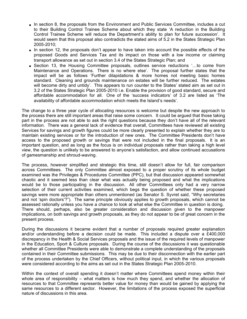- In section 8, the proposals from the Environment and Public Services Committee, includes a cut to their Building Control Trainee Scheme about which they state 'A reduction in the Building Control Trainee Scheme will reduce the Department's ability to plan for future succession'. It would seem that this proposal also contradicts the stated aims of 5.2 in the States Strategic Plan 2005-2010;
- In section 12, the proposals don't appear to have taken into account the possible effects of the proposed Goods and Services Tax and its impact on those with a low income or claiming transport allowance as set out in section 3.4 of the States Strategic Plan; and
- Section 13, the Housing Committee proposals, outlines service reductions '...to come from Maintenance and Operations. There is no where else'. The proposal further states that the impact will be as follows 'Further dilapidations & more homes not meeting basic homes standard. Cleaning and grounds maintenance on estates will be further reduced. The estates will become dirty and untidy'. This appears to run counter to the States' stated aim as set out in 3.2 of the States Strategic Plan 2005-2010 i.e. Enable the provision of good standard, secure and affordable accommodation for all. One of the 'success indicators' of 3.2 are listed as 'The availability of affordable accommodation which meets the Island's needs'.

The change to a three year cycle of allocating resources is welcome but despite the new approach to the process there are still important areas that raise some concern. It could be argued that those taking part in the process are not able to ask the right questions because they don't have all of the relevant information. There was a general lack of evidence that overall, Committees have reviewed all existing Services for savings and growth figures could be more clearly presented to explain whether they are to maintain existing services or for the introduction of new ones. The Committee Presidents don't have access to the proposed growth or savings that were not included in the final proposals. It is an important question, and as long as the focus is on individual proposals rather than taking a high level view, the question is unlikely to be answered to anyone's satisfaction, and allow continued accusations of gamesmanship and shroud-waving.

The process, however simplified and strategic this time, still doesn't allow for full, fair comparison across Committees. The only Committee almost exposed to a proper scrutiny of its whole budget examined was the Privileges & Procedures Committee (PPC), but that discussion appeared somewhat chaotic and it seemed less than clear what was actually being proposed and what the implications would be to those participating in the discussion. All other Committees only had a very narrow selection of their current activities examined, which begs the question of whether these proposed savings were more appropriate than others unmentioned (as Senator S. Syvret said, "Why secretaries and not 'spin doctors'?"). The same principle obviously applies to growth proposals, which cannot be assessed rationally unless you have a chance to look at what else the Committee in question is doing. There should, perhaps, also be greater consideration and discussion given to the manpower implications, on both savings and growth proposals, as they do not appear to be of great concern in the present process.

During the discussions it became evident that a number of proposals required greater explanation and/or understanding before a decision could be made. This included a dispute over a £400,000 discrepancy in the Health & Social Services proposals and the issue of the required levels of manpower in the Education, Sport & Culture proposals. During the course of the discussions it was questionable whether all Committee Presidents were able to demonstrate a complete understanding of the proposals contained in their Committee submissions. This may be due to their disconnection with the earlier part of the process undertaken by the Chief Officers, without political input, in which the various proposals were considered according to the aims as set out in the States Strategic Plan 2005-2010.

Within the context of overall spending it doesn't matter where Committees spend money within their whole area of responsibility – what matters is how much they spend, and whether the allocation of resources to that Committee represents better value for money than would be gained by applying the same resources to a different sector. However, the limitations of the process exposed the superficial nature of discussions in this area.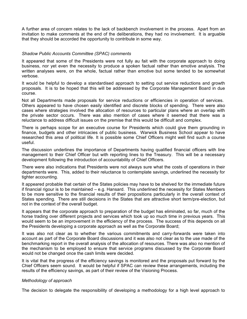A further area of concern relates to the lack of backbench involvement in the process. Apart from an invitation to make comments at the end of the deliberations, they had no involvement. It is arguable that they should be accorded the opportunity to contribute in some way.

#### *Shadow Public Accounts Committee (SPAC) comments*

It appeared that some of the Presidents were not fully au fait with the corporate approach to doing business, nor yet even the necessity to produce a spoken factual rather than emotive analysis. The written analyses were, on the whole, factual rather than emotive but some tended to be somewhat verbose.

It would be helpful to develop a standardised approach to setting out service reductions and growth proposals. It is to be hoped that this will be addressed by the Corporate Management Board in due course.

Not all Departments made proposals for service reductions or efficiencies in operation of services. Others appeared to have chosen easily identified and discrete blocks of spending. There were also cases where strategies involved the allocation of resources to particular plans where an overlap with the private sector occurs. There was also mention of cases where it seemed that there was a reluctance to address difficult issues on the premise that this would be difficult and complex.

There is perhaps scope for an executive course for Presidents which could give them grounding in finance, budgets and other intricacies of public business. Warwick Business School appear to have researched this area of political life. It is possible some Chief Officers might well find such a course useful.

The discussion underlines the importance of Departments having qualified financial officers with line management to their Chief Officer but with reporting lines to the Treasury. This will be a necessary development following the introduction of accountability of Chief Officers.

There were also indications that Presidents were not always sure what the costs of operations in their departments were. This, added to their reluctance to contemplate savings, underlined the necessity for tighter accounting.

It appeared probable that certain of the States policies may have to be shelved for the immediate future if financial rigour is to be maintained – e.g. Hansard. This underlined the necessity for States Members to be more sensitive to the financial results of their propositions particularly in the overall context of States spending. There are still decisions in the States that are attractive short term/pre-election, but not in the context of the overall budget.

It appears that the corporate approach to preparation of the budget has eliminated, so far, much of the horse trading over different projects and services which took up so much time in previous years. This would seem to be an improvement in the efficiency of the process. The success of this depends on all the Presidents developing a corporate approach as well as the Corporate Board;

It was also not clear as to whether the various commitments and carry-forwards were taken into account as part of the Corporate Board discussions and it was also not clear as to the use made of the benchmarking report in the overall analysis of the allocation of resources. There was also no mention of the mechanism to be employed to ensure that service programs discussed by the Corporate Board would not be changed once the cash limits were decided.

It is vital that the progress of the efficiency savings is monitored and the proposals put forward by the Chief Officers seem sound. It would be helpful if SPAC can review these arrangements, including the results of the efficiency savings, as part of their review of the Visioning Process.

#### *Methodology of approach*

The decision to delegate the responsibility of developing a methodology for a high level approach to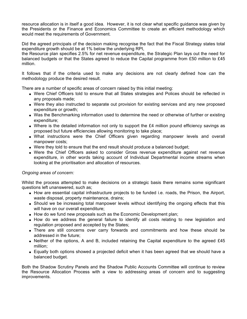resource allocation is in itself a good idea. However, it is not clear what specific guidance was given by the Presidents or the Finance and Economics Committee to create an efficient methodology which would meet the requirements of Government.

Did the agreed principals of the decision making recognise the fact that the Fiscal Strategy states total expenditure growth should be at 1% below the underlying RPI,

the Resource plan specifies 2.5% for net revenue expenditure, the Strategic Plan lays out the need for balanced budgets or that the States agreed to reduce the Capital programme from £50 million to £45 million.

It follows that if the criteria used to make any decisions are not clearly defined how can the methodology produce the desired result.

There are a number of specific areas of concern raised by this initial meeting:

- Were Chief Officers told to ensure that all States strategies and Polices should be reflected in any proposals made;
- Were they also instructed to separate out provision for existing services and any new proposed expenditure or growth;
- Was the Benchmarking information used to determine the need or otherwise of further or existing expenditure;
- Where is the detailed information not only to support the £4 million pound efficiency savings as proposed but future efficiencies allowing monitoring to take place;
- What instructions were the Chief Officers given regarding manpower levels and overall manpower costs;
- Were they told to ensure that the end result should produce a balanced budget;
- Were the Chief Officers asked to consider Gross revenue expenditure against net revenue expenditure, in other words taking account of Individual Departmental income streams when looking at the prioritisation and allocation of resources.

# *Ongoing areas of concern:*

Whilst the process attempted to make decisions on a strategic basis there remains some significant questions left unanswered, such as;

- How are essential capital infrastructure projects to be funded i.e. roads, the Prison, the Airport, waste disposal, property maintenance, drains;
- Should we be increasing total manpower levels without identifying the ongoing effects that this will have on our overall expenditure;
- $\bullet$  How do we fund new proposals such as the Economic Development plan;
- How do we address the general failure to identify all costs relating to new legislation and regulation proposed and accepted by the States;
- There are still concerns over carry forwards and commitments and how these should be addressed in the future;
- Neither of the options, A and B, included retaining the Capital expenditure to the agreed £45 million;
- Equally both options showed a projected deficit when it has been agreed that we should have a balanced budget.

Both the Shadow Scrutiny Panels and the Shadow Public Accounts Committee will continue to review the Resource Allocation Process with a view to addressing areas of concern and to suggesting improvements.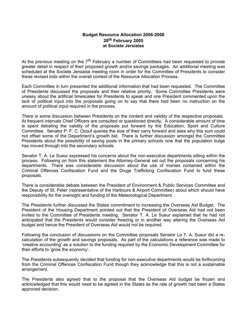# **Budget Resource Allocation 2006-2008 28th February 2005 at Societe Jersiaise**

At the previous meeting on the  $7<sup>th</sup>$  February a number of Committees had been requested to provide greater detail in respect of their proposed growth and/or savings packages. An additional meeting was scheduled at the Societe Jersiaise meeting room in order for the Committee of Presidents to consider these revised bids within the overall context of the Resource Allocation Process.

Each Committee in turn presented the additional information that had been requested. The Committee of Presidents discussed the proposals and their relative priority. Some Committee Presidents were uneasy about the artificial timescales for Presidents to speak and one President commented upon the lack of political input into the proposals going on to say that there had been no instruction on the amount of political input required in the process.

There is some discussion between Presidents on the content and validity of the respective proposals. At frequent intervals Chief Officers are consulted or questioned directly. A considerable amount of time is spent debating the validity of the proposals put forward by the Education, Sport and Culture Committee. Senator P. F. C. Ozouf queries the size of their carry forward and asks why this sum could not offset some of the Department's growth bid. There is further discussion amongst the Committee Presidents about the possibility of saving posts in the primary schools now that the population bulge has moved through into the secondary schools.

Senator T. A. Le Sueur expressed his concerns about the non-executive departments sitting within the process. Following on from this statement the Attorney-General set out the proposals concerning his departments. There was considerable discussion about the use of monies contained within the Criminal Offences Confiscation Fund and the Drugs Trafficking Confiscation Fund to fund these proposals.

There is considerable debate between the President of Environment & Public Services Committee and the Deputy of St. Peter (representative of the Harbours & Airport Committee) about which should have responsibility for the oversight and funding of the Meteorological Department.

The Presidents further discussed the States commitment to increasing the Overseas Aid Budget. The President of the Housing Department pointed out that the President of Overseas Aid had not been invited to the Committee of Presidents meeting. Senator T. A. Le Sueur explained that he had not anticipated that the Presidents would consider freezing or in another way altering the Overseas Aid budget and hence the President of Overseas Aid would not be required.

Following the conclusion of discussions on the Committee proposals Senator Le T. A. Sueur did a recalculation of the growth and savings proposals. As part of the calculations a reference was made to 'creative accounting' as a solution to the funding required by the Economic Development Committee for their efforts to 'grow the economy'.

The Presidents subsequently decided that funding for non-executive departments would be forthcoming from the Criminal Offences Confiscation Fund though they acknowledge that this is not a sustainable arrangement.

The Presidents also agreed that to the proposal that the Overseas Aid budget be frozen and acknowledged that this would need to be agreed in the States as the rate of growth had been a States approved decision.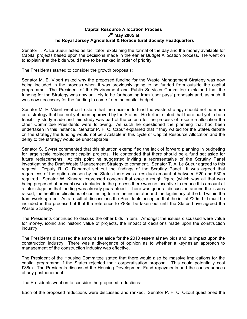# **Capital Resource Allocation Process 5 th May 2005 at The Royal Jersey Agricultural & Horticultural Society Headquarters**

Senator T. A. Le Sueur acted as facilitator, explaining the format of the day and the money available for Capital projects based upon the decisions made in the earlier Budget Allocation process. He went on to explain that the bids would have to be ranked in order of priority.

The Presidents started to consider the growth proposals:

Senator M. E. Vibert asked why the proposed funding for the Waste Management Strategy was now being included in the process when it was previously going to be funded from outside the capital programme. The President of the Environment and Public Services Committee explained that the funding for the Strategy was now unlikely to be forthcoming from 'user pays' proposals and, as such, it was now necessary for the funding to come from the capital budget.

Senator M. E. Vibert went on to state that the decision to fund the waste strategy should not be made on a strategy that has not yet been approved by the States. He further stated that there had yet to be a feasibility study made and this study was part of the criteria for the process of resource allocation the other Committee Presidents were following. As such he questioned the planning that had been undertaken in this instance. Senator P. F. C. Ozouf explained that if they waited for the States debate on the strategy the funding would not be available in this cycle of Capital Resource Allocation and the delay to the strategy would be unacceptable.

Senator S. Syvret commented that this situation exemplified the lack of forward planning in budgeting for large scale replacement capital projects. He contended that there should be a fund set aside for future replacements. At this point he suggested inviting a representative of the Scrutiny Panel investigating the Draft Waste Management Strategy to comment. Senator T. A. Le Sueur agreed to this request. Deputy R. C. Duhamel set out the findings of the Scrutiny Panel. It was agreed that regardless of the option chosen by the States there was a residual amount of between £20 and £30m required. Senator W. Kinnard expressed concern that once a rough figure (which was all that was being proposed at present) was included in the process there was no incentive to reduce this amount at a later stage as that funding was already guaranteed. There was general discussion around the issues raised, the health implications of continuing to run the incinerator and the legitimacy of the bid within the framework agreed. As a result of discussions the Presidents accepted that the initial £20m bid must be included in the process but that the reference to £88m be taken out until the States have agreed the Waste Strategy.

The Presidents continued to discuss the other bids in turn. Amongst the issues discussed were value for money, iconic and historic value of projects, the impact of decisions made upon the construction industry.

The Presidents discussed the amount set aside for the 2010 essential new bids and its impact upon the construction industry. There was a divergence of opinion as to whether a keynesian approach to management of the construction industry was effective.

The President of the Housing Committee stated that there would also be massive implications for the capital programme if the States rejected their corporatisation proposal. This could potentially cost £88m. The Presidents discussed the Housing Development Fund repayments and the consequences of any postponement.

The Presidents went on to consider the proposed reductions:

Each of the proposed reductions were discussed and ranked. Senator P. F. C. Ozouf questioned the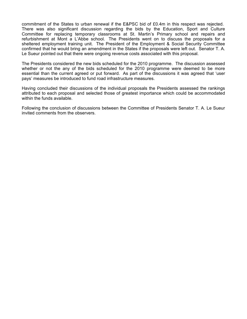commitment of the States to urban renewal if the E&PSC bid of £0.4m in this respect was rejected. There was also significant discussion regarding the bids by the Education, Sport and Culture Committee for replacing temporary classrooms at St. Martin's Primary school and repairs and refurbishment at Mont a L'Abbe school. The Presidents went on to discuss the proposals for a sheltered employment training unit. The President of the Employment & Social Security Committee confirmed that he would bring an amendment in the States if the proposals were left out. Senator T. A. Le Sueur pointed out that there were ongoing revenue costs associated with this proposal.

The Presidents considered the new bids scheduled for the 2010 programme. The discussion assessed whether or not the any of the bids scheduled for the 2010 programme were deemed to be more essential than the current agreed or put forward. As part of the discussions it was agreed that 'user pays' measures be introduced to fund road infrastructure measures.

Having concluded their discussions of the individual proposals the Presidents assessed the rankings attributed to each proposal and selected those of greatest importance which could be accommodated within the funds available.

Following the conclusion of discussions between the Committee of Presidents Senator T. A. Le Sueur invited comments from the observers.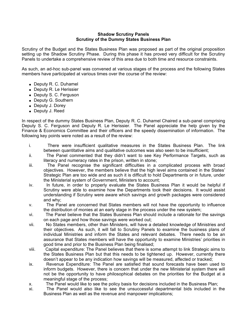### **Shadow Scrutiny Panels Scrutiny of the Dummy States Business Plan**

Scrutiny of the Budget and the States Business Plan was proposed as part of the original proposition setting up the Shadow Scrutiny Phase. During this phase it has proved very difficult for the Scrutiny Panels to undertake a comprehensive review of this area due to both time and resource constraints.

As such, an ad-hoc sub-panel was convened at various stages of the process and the following States members have participated at various times over the course of the review:

- Deputy R. C. Duhamel
- Deputy R. Le Herissier
- Deputy S. C. Ferguson
- Deputy G. Southern
- Deputy J. Dorey
- Deputy J. Reed

In respect of the dummy States Business Plan, Deputy R. C. Duhamel Chaired a sub-panel comprising Deputy S. C. Ferguson and Deputy R. Le Herissier. The Panel appreciate the help given by the Finance & Economics Committee and their officers and the speedy dissemination of information. The following key points were noted as a result of the review:

- i. There were insufficient qualitative measures in the States Business Plan. The link between quantitative aims and qualitative outcomes was also seen to be insufficient;
- ii. The Panel commented that they didn't want to see Key Performance Targets, such as literacy and numeracy rates in the prison, written in stone;
- iii. The Panel recognise the significant difficulties in a complicated process with broad objectives. However, the members believe that the high level aims contained in the States' Strategic Plan are too wide and as such it is difficult to hold Departments or in future, under the Ministerial system of Government, Ministers to account;
- iv. In future, in order to properly evaluate the States Business Plan it would be helpful if Scrutiny were able to examine how the Departments took their decisions. It would assist understanding if Scrutiny were aware which savings and growth packages were considered and why;
- v. The Panel are concerned that States members will not have the opportunity to influence the distribution of monies at an early stage in the process under the new system;
- vi. The Panel believe that the States Business Plan should include a rationale for the savings on each page and how those savings were worked out;
- vii. No States members, other than Ministers, will have a detailed knowledge of Ministries and their objectives. As such, it will fall to Scrutiny Panels to examine the business plans of individual Ministries and inform the States and relevant debates. There needs to be an assurance that States members will have the opportunity to examine Ministries' priorities in good time and prior to the Business Plan being finalised;
- viii. Capital expenditure: The Panel believes that there is some attempt to link Strategic aims to the States Business Plan but that this needs to be tightened up. However, currently there doesn't appear to be any indication how savings will be measured, affected or tracked;
- ix. Revenue Expenditure: The Panel are satisfied that sound forecasts have been used to inform budgets. However, there is concern that under the new Ministerial system there will not be the opportunity to have philosophical debates on the priorities for the Budget at a meaningful stage of the process;
- x. The Panel would like to see the policy basis for decisions included in the Business Plan;
- xi. The Panel would also like to see the unsuccessful departmental bids included in the Business Plan as well as the revenue and manpower implications;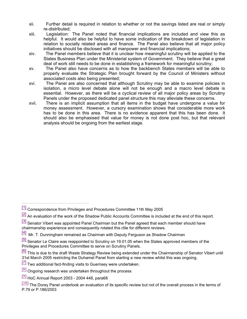- xii. Further detail is required in relation to whether or not the savings listed are real or simply re-distributed;
- xiii. Legislation: The Panel noted that financial implications are included and view this as helpful. It would also be helpful to have some indication of the breakdown of legislation in relation to socially related areas and finance. The Panel also believe that all major policy initiatives should be disclosed with all manpower and financial implications;
- xiv. The Panel members believe that it is unclear how meaningful scrutiny will be applied to the States Business Plan under the Ministerial system of Government. They believe that a great deal of work still needs to be done in establishing a framework for meaningful scrutiny;
- xv. The Panel also have concerns as to how the backbench States members will be able to properly evaluate the Strategic Plan brought forward by the Council of Ministers without associated costs also being presented;
- xvi. The Panel are also concerned that although Scrutiny may be able to examine policies in isolation, a micro level debate alone will not be enough and a macro level debate is essential. However, as there will be a cyclical review of all major policy areas by Scrutiny Panels under the proposed dedicated panel structure this may alleviate these concerns.
- xvii. There is an implicit assumption that all items in the budget have undergone a value for money assessment. However, a cursory examination shows that considerable more work has to be done in this area. There is no evidence apparent that this has been done. It should also be emphasised that value for money is not done post hoc, but that relevant analysis should be ongoing from the earliest stage.

- [2] An evaluation of the work of the Shadow Public Accounts Committee is included at the end of this report.
- [3] Senator Vibert was appointed Panel Chairman but the Panel agreed that each member should have chairmanship experience and consequently rotated this rôle for different reviews.

- [5] Senator Le Claire was reappointed to Scrutiny on 19.01.05 when the States approved members of the Privileges and Procedures Committee to serve on Scrutiny Panels.
- <sup>[6]</sup> This is due to the draft Waste Strategy Review being extended under the Chairmanship of Senator Vibert until 31st March 2005 restricting the Duhamel Panel from starting a new review whilst this was ongoing.
- $\frac{[7]}{[7]}$  Two additional fact-finding visits to Guernsey were undertaken.
- [8] Ongoing research was undertaken throughout the process
- $[9]$  HoC Annual Report 2003 2004 446, para68

<sup>[1]</sup> Correspondence from Privileges and Procedures Committee 11th May 2005

 $[4]$  Mr. T. Dunningham remained as Chairman with Deputy Ferguson as Shadow Chairman

 $[10]$  The Dorey Panel undertook an evaluation of its specific review but not of the overall process in the terms of P.79 or P.186/2003